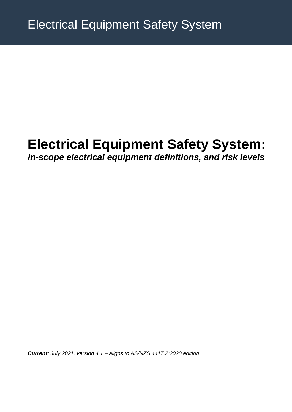# **Electrical Equipment Safety System:**

## *In-scope electrical equipment definitions, and risk levels*

*Current: July 2021, version 4.1 – aligns to AS/NZS 4417.2:2020 edition*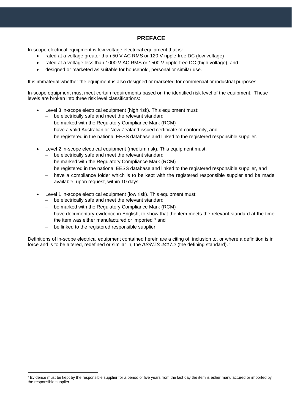#### **PREFACE**

In-scope electrical equipment is low voltage electrical equipment that is:

- rated at a voltage greater than 50 V AC RMS or 120 V ripple-free DC (low voltage)
- rated at a voltage less than 1000 V AC RMS or 1500 V ripple-free DC (high voltage), and
- designed or marketed as suitable for household, personal or similar use.

It is immaterial whether the equipment is also designed or marketed for commercial or industrial purposes.

In-scope equipment must meet certain requirements based on the identified risk level of the equipment. These levels are broken into three risk level classifications:

- Level 3 in-scope electrical equipment (high risk). This equipment must:
	- − be electrically safe and meet the relevant standard
	- − be marked with the Regulatory Compliance Mark (RCM)
	- − have a valid Australian or New Zealand issued certificate of conformity, and
	- − be registered in the national EESS database and linked to the registered responsible supplier.
- Level 2 in-scope electrical equipment (medium risk). This equipment must:
	- − be electrically safe and meet the relevant standard
	- − be marked with the Regulatory Compliance Mark (RCM)
	- − be registered in the national EESS database and linked to the registered responsible supplier, and
	- − have a compliance folder which is to be kept with the registered responsible suppler and be made available, upon request, within 10 days.
- Level 1 in-scope electrical equipment (low risk). This equipment must:
	- − be electrically safe and meet the relevant standard
	- − be marked with the Regulatory Compliance Mark (RCM)
	- − have documentary evidence in English, to show that the item meets the relevant standard at the time the item was either manufactured or imported **[1](#page-1-0)** and
	- − be linked to the registered responsible supplier.

Definitions of in-scope electrical equipment contained herein are a citing of, inclusion to, or where a definition is in force and is to be altered, redefined or similar in, the *AS/NZS 4417.2* (the defining standard). '

<span id="page-1-0"></span><sup>&</sup>lt;sup>1</sup> Evidence must be kept by the responsible supplier for a period of five years from the last day the item is either manufactured or imported by the responsible supplier.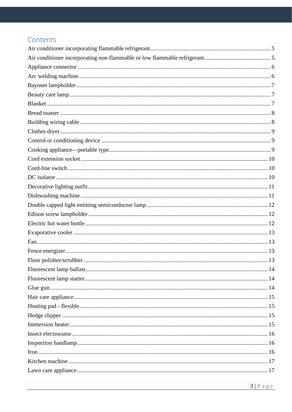### Contents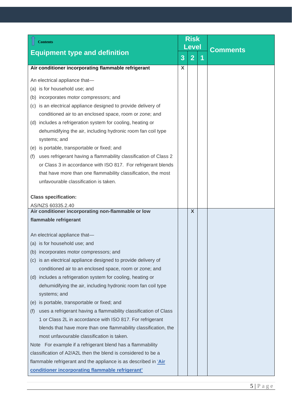<span id="page-4-1"></span><span id="page-4-0"></span>

| <b>Contents</b>                                                         | <b>Risk</b><br><b>Level</b> |                |   |                 |
|-------------------------------------------------------------------------|-----------------------------|----------------|---|-----------------|
| <b>Equipment type and definition</b>                                    | 3                           | $\overline{2}$ | 1 | <b>Comments</b> |
| Air conditioner incorporating flammable refrigerant                     | X                           |                |   |                 |
| An electrical appliance that-                                           |                             |                |   |                 |
| (a) is for household use; and                                           |                             |                |   |                 |
| (b) incorporates motor compressors; and                                 |                             |                |   |                 |
| (c) is an electrical appliance designed to provide delivery of          |                             |                |   |                 |
| conditioned air to an enclosed space, room or zone; and                 |                             |                |   |                 |
| (d) includes a refrigeration system for cooling, heating or             |                             |                |   |                 |
| dehumidifying the air, including hydronic room fan coil type            |                             |                |   |                 |
| systems; and                                                            |                             |                |   |                 |
| (e) is portable, transportable or fixed; and                            |                             |                |   |                 |
| uses refrigerant having a flammability classification of Class 2<br>(f) |                             |                |   |                 |
| or Class 3 in accordance with ISO 817. For refrigerant blends           |                             |                |   |                 |
| that have more than one flammability classification, the most           |                             |                |   |                 |
| unfavourable classification is taken.                                   |                             |                |   |                 |
| <b>Class specification:</b>                                             |                             |                |   |                 |
| AS/NZS 60335.2.40                                                       |                             |                |   |                 |
| Air conditioner incorporating non-flammable or low                      |                             | $\mathsf{X}$   |   |                 |
| flammable refrigerant                                                   |                             |                |   |                 |
| An electrical appliance that-                                           |                             |                |   |                 |
| (a) is for household use; and                                           |                             |                |   |                 |
| (b) incorporates motor compressors; and                                 |                             |                |   |                 |
| (c) is an electrical appliance designed to provide delivery of          |                             |                |   |                 |
| conditioned air to an enclosed space, room or zone; and                 |                             |                |   |                 |
| (d) includes a refrigeration system for cooling, heating or             |                             |                |   |                 |
| dehumidifying the air, including hydronic room fan coil type            |                             |                |   |                 |
| systems; and                                                            |                             |                |   |                 |
| is portable, transportable or fixed; and<br>(e)                         |                             |                |   |                 |
| uses a refrigerant having a flammability classification of Class<br>(f) |                             |                |   |                 |
| 1 or Class 2L in accordance with ISO 817. For refrigerant               |                             |                |   |                 |
| blends that have more than one flammability classification, the         |                             |                |   |                 |
| most unfavourable classification is taken.                              |                             |                |   |                 |
| Note For example if a refrigerant blend has a flammability              |                             |                |   |                 |
| classification of A2/A2L then the blend is considered to be a           |                             |                |   |                 |
| flammable refrigerant and the appliance is as described in 'Air         |                             |                |   |                 |
| conditioner incorporating flammable refrigerant'                        |                             |                |   |                 |
|                                                                         |                             |                |   |                 |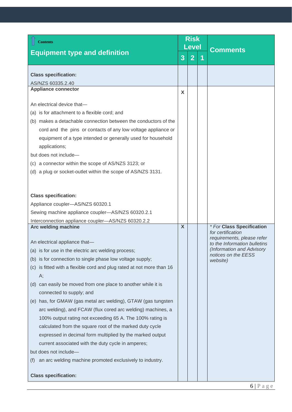<span id="page-5-1"></span><span id="page-5-0"></span>

| <b>Contents</b>                                                                                                                                                                                                                                                                                                                                                                                                                                                                                                                                                                                                                                                                                                                    | <b>Risk</b><br>Level |                |   | <b>Comments</b>                                                                                                                                 |
|------------------------------------------------------------------------------------------------------------------------------------------------------------------------------------------------------------------------------------------------------------------------------------------------------------------------------------------------------------------------------------------------------------------------------------------------------------------------------------------------------------------------------------------------------------------------------------------------------------------------------------------------------------------------------------------------------------------------------------|----------------------|----------------|---|-------------------------------------------------------------------------------------------------------------------------------------------------|
| <b>Equipment type and definition</b>                                                                                                                                                                                                                                                                                                                                                                                                                                                                                                                                                                                                                                                                                               | 3                    | $\overline{2}$ | 1 |                                                                                                                                                 |
| <b>Class specification:</b><br>AS/NZS 60335.2.40                                                                                                                                                                                                                                                                                                                                                                                                                                                                                                                                                                                                                                                                                   |                      |                |   |                                                                                                                                                 |
| <b>Appliance connector</b>                                                                                                                                                                                                                                                                                                                                                                                                                                                                                                                                                                                                                                                                                                         | X                    |                |   |                                                                                                                                                 |
| An electrical device that-<br>(a) is for attachment to a flexible cord; and<br>(b) makes a detachable connection between the conductors of the<br>cord and the pins or contacts of any low voltage appliance or<br>equipment of a type intended or generally used for household<br>applications;<br>but does not include-<br>(c) a connector within the scope of AS/NZS 3123; or<br>(d) a plug or socket-outlet within the scope of AS/NZS 3131.<br><b>Class specification:</b><br>Appliance coupler-AS/NZS 60320.1<br>Sewing machine appliance coupler-AS/NZS 60320.2.1                                                                                                                                                           |                      |                |   |                                                                                                                                                 |
| Interconnection appliance coupler-AS/NZS 60320.2.2<br>Arc welding machine                                                                                                                                                                                                                                                                                                                                                                                                                                                                                                                                                                                                                                                          | X                    |                |   | * For Class Specification                                                                                                                       |
| An electrical appliance that-<br>(a) is for use in the electric arc welding process;<br>(b) is for connection to single phase low voltage supply;<br>(c) is fitted with a flexible cord and plug rated at not more than 16<br>A;<br>(d) can easily be moved from one place to another while it is<br>connected to supply; and<br>(e) has, for GMAW (gas metal arc welding), GTAW (gas tungsten<br>arc welding), and FCAW (flux cored arc welding) machines, a<br>100% output rating not exceeding 65 A. The 100% rating is<br>calculated from the square root of the marked duty cycle<br>expressed in decimal form multiplied by the marked output<br>current associated with the duty cycle in amperes;<br>but does not include- |                      |                |   | for certification<br>requirements, please refer<br>to the Information bulletins<br>(Information and Advisory<br>notices on the EESS<br>website) |
| an arc welding machine promoted exclusively to industry.<br>(t)                                                                                                                                                                                                                                                                                                                                                                                                                                                                                                                                                                                                                                                                    |                      |                |   |                                                                                                                                                 |
| <b>Class specification:</b>                                                                                                                                                                                                                                                                                                                                                                                                                                                                                                                                                                                                                                                                                                        |                      |                |   |                                                                                                                                                 |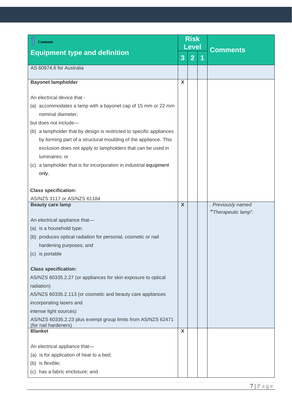<span id="page-6-2"></span><span id="page-6-1"></span><span id="page-6-0"></span>

| <b>Contents</b>                                                                                                                                                                                                                                                                                                                                                                                                                                                                        | <b>Risk</b><br><b>Level</b> |                |   |                                           |
|----------------------------------------------------------------------------------------------------------------------------------------------------------------------------------------------------------------------------------------------------------------------------------------------------------------------------------------------------------------------------------------------------------------------------------------------------------------------------------------|-----------------------------|----------------|---|-------------------------------------------|
| <b>Equipment type and definition</b>                                                                                                                                                                                                                                                                                                                                                                                                                                                   | 3                           | $\overline{2}$ | 1 | <b>Comments</b>                           |
| AS 60974.6 for Australia                                                                                                                                                                                                                                                                                                                                                                                                                                                               |                             |                |   |                                           |
| <b>Bayonet lampholder</b>                                                                                                                                                                                                                                                                                                                                                                                                                                                              | $\mathsf{X}$                |                |   |                                           |
| An electrical device that -<br>(a) accommodates a lamp with a bayonet cap of 15 mm or 22 mm<br>nominal diameter;<br>but does not include-<br>(b) a lampholder that by design is restricted to specific appliances<br>by forming part of a structural moulding of the appliance. This<br>exclusion does not apply to lampholders that can be used in<br>luminaires; or<br>a lampholder that is for incorporation in industrial equipment<br>(c)<br>only.<br><b>Class specification:</b> |                             |                |   |                                           |
| AS/NZS 3117 or AS/NZS 61184                                                                                                                                                                                                                                                                                                                                                                                                                                                            |                             |                |   |                                           |
| <b>Beauty care lamp</b><br>An electrical appliance that-<br>(a) is a household type;<br>(b) produces optical radiation for personal, cosmetic or nail<br>hardening purposes; and<br>(c) is portable                                                                                                                                                                                                                                                                                    | $\boldsymbol{X}$            |                |   | . Previously named<br>"Therapeutic lamp". |
| <b>Class specification:</b><br>AS/NZS 60335.2.27 (or appliances for skin exposure to optical<br>radiation)<br>AS/NZS 60335.2.113 (or cosmetic and beauty care appliances<br>incorporating lasers and<br>intense light sources)<br>AS/NZS 60335.2.23 plus exempt group limits from AS/NZS 62471<br>(for nail hardeners)                                                                                                                                                                 |                             |                |   |                                           |
| <b>Blanket</b><br>An electrical appliance that-<br>(a) is for application of heat to a bed;<br>(b) is flexible;<br>(c) has a fabric enclosure; and                                                                                                                                                                                                                                                                                                                                     | X                           |                |   |                                           |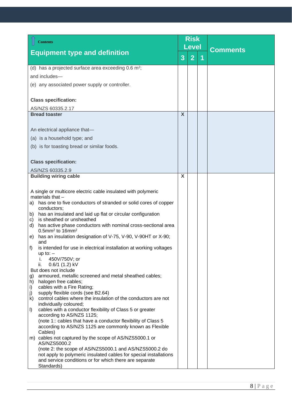<span id="page-7-1"></span><span id="page-7-0"></span>

| <b>Equipment type and definition</b><br>$\overline{2}$<br>3<br>1<br>(d) has a projected surface area exceeding $0.6 \text{ m}^2$ ;<br>and includes-<br>(e) any associated power supply or controller.<br><b>Class specification:</b><br>AS/NZS 60335.2.17<br>$\mathsf{x}$<br><b>Bread toaster</b><br>An electrical appliance that-<br>(a) is a household type; and<br>(b) is for toasting bread or similar foods.<br><b>Class specification:</b><br>AS/NZS 60335.2.9<br>X<br><b>Building wiring cable</b><br>A single or multicore electric cable insulated with polymeric<br>materials that $-$<br>has one to five conductors of stranded or solid cores of copper<br>a)<br>conductors;<br>has an insulated and laid up flat or circular configuration<br>b)<br>is sheathed or unsheathed<br>c)<br>has active phase conductors with nominal cross-sectional area<br>d)<br>$0.5$ mm <sup>2</sup> to $16$ mm <sup>2</sup><br>has an insulation designation of V-75, V-90, V-90HT or X-90;<br>e)<br>and<br>is intended for use in electrical installation at working voltages<br>f)<br>up to: $-$<br>450V/750V; or<br>ı.<br>$0.6/1$ (1.2) kV<br>ii.<br>But does not include<br>armoured, metallic screened and metal sheathed cables;<br>g)<br>halogen free cables;<br>h)<br>cables with a Fire Rating;<br>i)<br>j)<br>supply flexible cords (see B2.64)<br>control cables where the insulation of the conductors are not<br>k)<br>individually coloured;<br>cables with a conductor flexibility of Class 5 or greater<br>$\vert$<br>according to AS/NZS 1125;<br>(note 1: cables that have a conductor flexibility of Class 5<br>according to AS/NZS 1125 are commonly known as Flexible<br>Cables)<br>m) cables not captured by the scope of AS/NZS5000.1 or<br>AS/NZS5000.2<br>(note 2: the scope of AS/NZS5000.1 and AS/NZS5000.2 do<br>not apply to polymeric insulated cables for special installations<br>and service conditions or for which there are separate | <b>Contents</b> | <b>Risk</b><br><b>Level</b> |  |  |                 |
|-----------------------------------------------------------------------------------------------------------------------------------------------------------------------------------------------------------------------------------------------------------------------------------------------------------------------------------------------------------------------------------------------------------------------------------------------------------------------------------------------------------------------------------------------------------------------------------------------------------------------------------------------------------------------------------------------------------------------------------------------------------------------------------------------------------------------------------------------------------------------------------------------------------------------------------------------------------------------------------------------------------------------------------------------------------------------------------------------------------------------------------------------------------------------------------------------------------------------------------------------------------------------------------------------------------------------------------------------------------------------------------------------------------------------------------------------------------------------------------------------------------------------------------------------------------------------------------------------------------------------------------------------------------------------------------------------------------------------------------------------------------------------------------------------------------------------------------------------------------------------------------------------------------------------------------------------------------------------|-----------------|-----------------------------|--|--|-----------------|
|                                                                                                                                                                                                                                                                                                                                                                                                                                                                                                                                                                                                                                                                                                                                                                                                                                                                                                                                                                                                                                                                                                                                                                                                                                                                                                                                                                                                                                                                                                                                                                                                                                                                                                                                                                                                                                                                                                                                                                       |                 |                             |  |  | <b>Comments</b> |
|                                                                                                                                                                                                                                                                                                                                                                                                                                                                                                                                                                                                                                                                                                                                                                                                                                                                                                                                                                                                                                                                                                                                                                                                                                                                                                                                                                                                                                                                                                                                                                                                                                                                                                                                                                                                                                                                                                                                                                       |                 |                             |  |  |                 |
|                                                                                                                                                                                                                                                                                                                                                                                                                                                                                                                                                                                                                                                                                                                                                                                                                                                                                                                                                                                                                                                                                                                                                                                                                                                                                                                                                                                                                                                                                                                                                                                                                                                                                                                                                                                                                                                                                                                                                                       |                 |                             |  |  |                 |
|                                                                                                                                                                                                                                                                                                                                                                                                                                                                                                                                                                                                                                                                                                                                                                                                                                                                                                                                                                                                                                                                                                                                                                                                                                                                                                                                                                                                                                                                                                                                                                                                                                                                                                                                                                                                                                                                                                                                                                       |                 |                             |  |  |                 |
|                                                                                                                                                                                                                                                                                                                                                                                                                                                                                                                                                                                                                                                                                                                                                                                                                                                                                                                                                                                                                                                                                                                                                                                                                                                                                                                                                                                                                                                                                                                                                                                                                                                                                                                                                                                                                                                                                                                                                                       |                 |                             |  |  |                 |
|                                                                                                                                                                                                                                                                                                                                                                                                                                                                                                                                                                                                                                                                                                                                                                                                                                                                                                                                                                                                                                                                                                                                                                                                                                                                                                                                                                                                                                                                                                                                                                                                                                                                                                                                                                                                                                                                                                                                                                       |                 |                             |  |  |                 |
|                                                                                                                                                                                                                                                                                                                                                                                                                                                                                                                                                                                                                                                                                                                                                                                                                                                                                                                                                                                                                                                                                                                                                                                                                                                                                                                                                                                                                                                                                                                                                                                                                                                                                                                                                                                                                                                                                                                                                                       |                 |                             |  |  |                 |
|                                                                                                                                                                                                                                                                                                                                                                                                                                                                                                                                                                                                                                                                                                                                                                                                                                                                                                                                                                                                                                                                                                                                                                                                                                                                                                                                                                                                                                                                                                                                                                                                                                                                                                                                                                                                                                                                                                                                                                       |                 |                             |  |  |                 |
|                                                                                                                                                                                                                                                                                                                                                                                                                                                                                                                                                                                                                                                                                                                                                                                                                                                                                                                                                                                                                                                                                                                                                                                                                                                                                                                                                                                                                                                                                                                                                                                                                                                                                                                                                                                                                                                                                                                                                                       |                 |                             |  |  |                 |
|                                                                                                                                                                                                                                                                                                                                                                                                                                                                                                                                                                                                                                                                                                                                                                                                                                                                                                                                                                                                                                                                                                                                                                                                                                                                                                                                                                                                                                                                                                                                                                                                                                                                                                                                                                                                                                                                                                                                                                       |                 |                             |  |  |                 |
|                                                                                                                                                                                                                                                                                                                                                                                                                                                                                                                                                                                                                                                                                                                                                                                                                                                                                                                                                                                                                                                                                                                                                                                                                                                                                                                                                                                                                                                                                                                                                                                                                                                                                                                                                                                                                                                                                                                                                                       |                 |                             |  |  |                 |
|                                                                                                                                                                                                                                                                                                                                                                                                                                                                                                                                                                                                                                                                                                                                                                                                                                                                                                                                                                                                                                                                                                                                                                                                                                                                                                                                                                                                                                                                                                                                                                                                                                                                                                                                                                                                                                                                                                                                                                       |                 |                             |  |  |                 |
|                                                                                                                                                                                                                                                                                                                                                                                                                                                                                                                                                                                                                                                                                                                                                                                                                                                                                                                                                                                                                                                                                                                                                                                                                                                                                                                                                                                                                                                                                                                                                                                                                                                                                                                                                                                                                                                                                                                                                                       |                 |                             |  |  |                 |
|                                                                                                                                                                                                                                                                                                                                                                                                                                                                                                                                                                                                                                                                                                                                                                                                                                                                                                                                                                                                                                                                                                                                                                                                                                                                                                                                                                                                                                                                                                                                                                                                                                                                                                                                                                                                                                                                                                                                                                       |                 |                             |  |  |                 |
|                                                                                                                                                                                                                                                                                                                                                                                                                                                                                                                                                                                                                                                                                                                                                                                                                                                                                                                                                                                                                                                                                                                                                                                                                                                                                                                                                                                                                                                                                                                                                                                                                                                                                                                                                                                                                                                                                                                                                                       |                 |                             |  |  |                 |
|                                                                                                                                                                                                                                                                                                                                                                                                                                                                                                                                                                                                                                                                                                                                                                                                                                                                                                                                                                                                                                                                                                                                                                                                                                                                                                                                                                                                                                                                                                                                                                                                                                                                                                                                                                                                                                                                                                                                                                       |                 |                             |  |  |                 |
|                                                                                                                                                                                                                                                                                                                                                                                                                                                                                                                                                                                                                                                                                                                                                                                                                                                                                                                                                                                                                                                                                                                                                                                                                                                                                                                                                                                                                                                                                                                                                                                                                                                                                                                                                                                                                                                                                                                                                                       |                 |                             |  |  |                 |
|                                                                                                                                                                                                                                                                                                                                                                                                                                                                                                                                                                                                                                                                                                                                                                                                                                                                                                                                                                                                                                                                                                                                                                                                                                                                                                                                                                                                                                                                                                                                                                                                                                                                                                                                                                                                                                                                                                                                                                       |                 |                             |  |  |                 |
|                                                                                                                                                                                                                                                                                                                                                                                                                                                                                                                                                                                                                                                                                                                                                                                                                                                                                                                                                                                                                                                                                                                                                                                                                                                                                                                                                                                                                                                                                                                                                                                                                                                                                                                                                                                                                                                                                                                                                                       |                 |                             |  |  |                 |
|                                                                                                                                                                                                                                                                                                                                                                                                                                                                                                                                                                                                                                                                                                                                                                                                                                                                                                                                                                                                                                                                                                                                                                                                                                                                                                                                                                                                                                                                                                                                                                                                                                                                                                                                                                                                                                                                                                                                                                       |                 |                             |  |  |                 |
|                                                                                                                                                                                                                                                                                                                                                                                                                                                                                                                                                                                                                                                                                                                                                                                                                                                                                                                                                                                                                                                                                                                                                                                                                                                                                                                                                                                                                                                                                                                                                                                                                                                                                                                                                                                                                                                                                                                                                                       |                 |                             |  |  |                 |
|                                                                                                                                                                                                                                                                                                                                                                                                                                                                                                                                                                                                                                                                                                                                                                                                                                                                                                                                                                                                                                                                                                                                                                                                                                                                                                                                                                                                                                                                                                                                                                                                                                                                                                                                                                                                                                                                                                                                                                       |                 |                             |  |  |                 |
|                                                                                                                                                                                                                                                                                                                                                                                                                                                                                                                                                                                                                                                                                                                                                                                                                                                                                                                                                                                                                                                                                                                                                                                                                                                                                                                                                                                                                                                                                                                                                                                                                                                                                                                                                                                                                                                                                                                                                                       |                 |                             |  |  |                 |
|                                                                                                                                                                                                                                                                                                                                                                                                                                                                                                                                                                                                                                                                                                                                                                                                                                                                                                                                                                                                                                                                                                                                                                                                                                                                                                                                                                                                                                                                                                                                                                                                                                                                                                                                                                                                                                                                                                                                                                       |                 |                             |  |  |                 |
|                                                                                                                                                                                                                                                                                                                                                                                                                                                                                                                                                                                                                                                                                                                                                                                                                                                                                                                                                                                                                                                                                                                                                                                                                                                                                                                                                                                                                                                                                                                                                                                                                                                                                                                                                                                                                                                                                                                                                                       |                 |                             |  |  |                 |
|                                                                                                                                                                                                                                                                                                                                                                                                                                                                                                                                                                                                                                                                                                                                                                                                                                                                                                                                                                                                                                                                                                                                                                                                                                                                                                                                                                                                                                                                                                                                                                                                                                                                                                                                                                                                                                                                                                                                                                       |                 |                             |  |  |                 |
|                                                                                                                                                                                                                                                                                                                                                                                                                                                                                                                                                                                                                                                                                                                                                                                                                                                                                                                                                                                                                                                                                                                                                                                                                                                                                                                                                                                                                                                                                                                                                                                                                                                                                                                                                                                                                                                                                                                                                                       |                 |                             |  |  |                 |
|                                                                                                                                                                                                                                                                                                                                                                                                                                                                                                                                                                                                                                                                                                                                                                                                                                                                                                                                                                                                                                                                                                                                                                                                                                                                                                                                                                                                                                                                                                                                                                                                                                                                                                                                                                                                                                                                                                                                                                       |                 |                             |  |  |                 |
|                                                                                                                                                                                                                                                                                                                                                                                                                                                                                                                                                                                                                                                                                                                                                                                                                                                                                                                                                                                                                                                                                                                                                                                                                                                                                                                                                                                                                                                                                                                                                                                                                                                                                                                                                                                                                                                                                                                                                                       |                 |                             |  |  |                 |
|                                                                                                                                                                                                                                                                                                                                                                                                                                                                                                                                                                                                                                                                                                                                                                                                                                                                                                                                                                                                                                                                                                                                                                                                                                                                                                                                                                                                                                                                                                                                                                                                                                                                                                                                                                                                                                                                                                                                                                       |                 |                             |  |  |                 |
|                                                                                                                                                                                                                                                                                                                                                                                                                                                                                                                                                                                                                                                                                                                                                                                                                                                                                                                                                                                                                                                                                                                                                                                                                                                                                                                                                                                                                                                                                                                                                                                                                                                                                                                                                                                                                                                                                                                                                                       |                 |                             |  |  |                 |
|                                                                                                                                                                                                                                                                                                                                                                                                                                                                                                                                                                                                                                                                                                                                                                                                                                                                                                                                                                                                                                                                                                                                                                                                                                                                                                                                                                                                                                                                                                                                                                                                                                                                                                                                                                                                                                                                                                                                                                       |                 |                             |  |  |                 |
|                                                                                                                                                                                                                                                                                                                                                                                                                                                                                                                                                                                                                                                                                                                                                                                                                                                                                                                                                                                                                                                                                                                                                                                                                                                                                                                                                                                                                                                                                                                                                                                                                                                                                                                                                                                                                                                                                                                                                                       |                 |                             |  |  |                 |
|                                                                                                                                                                                                                                                                                                                                                                                                                                                                                                                                                                                                                                                                                                                                                                                                                                                                                                                                                                                                                                                                                                                                                                                                                                                                                                                                                                                                                                                                                                                                                                                                                                                                                                                                                                                                                                                                                                                                                                       |                 |                             |  |  |                 |
|                                                                                                                                                                                                                                                                                                                                                                                                                                                                                                                                                                                                                                                                                                                                                                                                                                                                                                                                                                                                                                                                                                                                                                                                                                                                                                                                                                                                                                                                                                                                                                                                                                                                                                                                                                                                                                                                                                                                                                       |                 |                             |  |  |                 |
|                                                                                                                                                                                                                                                                                                                                                                                                                                                                                                                                                                                                                                                                                                                                                                                                                                                                                                                                                                                                                                                                                                                                                                                                                                                                                                                                                                                                                                                                                                                                                                                                                                                                                                                                                                                                                                                                                                                                                                       |                 |                             |  |  |                 |
|                                                                                                                                                                                                                                                                                                                                                                                                                                                                                                                                                                                                                                                                                                                                                                                                                                                                                                                                                                                                                                                                                                                                                                                                                                                                                                                                                                                                                                                                                                                                                                                                                                                                                                                                                                                                                                                                                                                                                                       |                 |                             |  |  |                 |
|                                                                                                                                                                                                                                                                                                                                                                                                                                                                                                                                                                                                                                                                                                                                                                                                                                                                                                                                                                                                                                                                                                                                                                                                                                                                                                                                                                                                                                                                                                                                                                                                                                                                                                                                                                                                                                                                                                                                                                       |                 |                             |  |  |                 |
|                                                                                                                                                                                                                                                                                                                                                                                                                                                                                                                                                                                                                                                                                                                                                                                                                                                                                                                                                                                                                                                                                                                                                                                                                                                                                                                                                                                                                                                                                                                                                                                                                                                                                                                                                                                                                                                                                                                                                                       |                 |                             |  |  |                 |
|                                                                                                                                                                                                                                                                                                                                                                                                                                                                                                                                                                                                                                                                                                                                                                                                                                                                                                                                                                                                                                                                                                                                                                                                                                                                                                                                                                                                                                                                                                                                                                                                                                                                                                                                                                                                                                                                                                                                                                       |                 |                             |  |  |                 |
|                                                                                                                                                                                                                                                                                                                                                                                                                                                                                                                                                                                                                                                                                                                                                                                                                                                                                                                                                                                                                                                                                                                                                                                                                                                                                                                                                                                                                                                                                                                                                                                                                                                                                                                                                                                                                                                                                                                                                                       |                 |                             |  |  |                 |
|                                                                                                                                                                                                                                                                                                                                                                                                                                                                                                                                                                                                                                                                                                                                                                                                                                                                                                                                                                                                                                                                                                                                                                                                                                                                                                                                                                                                                                                                                                                                                                                                                                                                                                                                                                                                                                                                                                                                                                       |                 |                             |  |  |                 |
|                                                                                                                                                                                                                                                                                                                                                                                                                                                                                                                                                                                                                                                                                                                                                                                                                                                                                                                                                                                                                                                                                                                                                                                                                                                                                                                                                                                                                                                                                                                                                                                                                                                                                                                                                                                                                                                                                                                                                                       | Standards)      |                             |  |  |                 |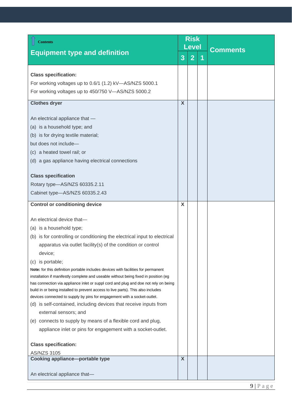<span id="page-8-2"></span><span id="page-8-1"></span><span id="page-8-0"></span>

| <b>Contents</b>                                                                                                                                                                                                                                                                                                                                                                                                                                                                                                               | <b>Risk</b>      |                |   | <b>Level</b>    |  |  |  |  |  |  |  |  |  |  |  |  |
|-------------------------------------------------------------------------------------------------------------------------------------------------------------------------------------------------------------------------------------------------------------------------------------------------------------------------------------------------------------------------------------------------------------------------------------------------------------------------------------------------------------------------------|------------------|----------------|---|-----------------|--|--|--|--|--|--|--|--|--|--|--|--|
| <b>Equipment type and definition</b>                                                                                                                                                                                                                                                                                                                                                                                                                                                                                          | 3                | $\overline{2}$ | 1 | <b>Comments</b> |  |  |  |  |  |  |  |  |  |  |  |  |
| <b>Class specification:</b>                                                                                                                                                                                                                                                                                                                                                                                                                                                                                                   |                  |                |   |                 |  |  |  |  |  |  |  |  |  |  |  |  |
| For working voltages up to 0.6/1 (1.2) kV-AS/NZS 5000.1                                                                                                                                                                                                                                                                                                                                                                                                                                                                       |                  |                |   |                 |  |  |  |  |  |  |  |  |  |  |  |  |
| For working voltages up to 450/750 V-AS/NZS 5000.2                                                                                                                                                                                                                                                                                                                                                                                                                                                                            |                  |                |   |                 |  |  |  |  |  |  |  |  |  |  |  |  |
| <b>Clothes dryer</b>                                                                                                                                                                                                                                                                                                                                                                                                                                                                                                          | X                |                |   |                 |  |  |  |  |  |  |  |  |  |  |  |  |
| An electrical appliance that -                                                                                                                                                                                                                                                                                                                                                                                                                                                                                                |                  |                |   |                 |  |  |  |  |  |  |  |  |  |  |  |  |
| (a) is a household type; and                                                                                                                                                                                                                                                                                                                                                                                                                                                                                                  |                  |                |   |                 |  |  |  |  |  |  |  |  |  |  |  |  |
| (b) is for drying textile material;                                                                                                                                                                                                                                                                                                                                                                                                                                                                                           |                  |                |   |                 |  |  |  |  |  |  |  |  |  |  |  |  |
| but does not include-                                                                                                                                                                                                                                                                                                                                                                                                                                                                                                         |                  |                |   |                 |  |  |  |  |  |  |  |  |  |  |  |  |
| (c) a heated towel rail; or                                                                                                                                                                                                                                                                                                                                                                                                                                                                                                   |                  |                |   |                 |  |  |  |  |  |  |  |  |  |  |  |  |
| (d) a gas appliance having electrical connections                                                                                                                                                                                                                                                                                                                                                                                                                                                                             |                  |                |   |                 |  |  |  |  |  |  |  |  |  |  |  |  |
| <b>Class specification</b>                                                                                                                                                                                                                                                                                                                                                                                                                                                                                                    |                  |                |   |                 |  |  |  |  |  |  |  |  |  |  |  |  |
| Rotary type-AS/NZS 60335.2.11                                                                                                                                                                                                                                                                                                                                                                                                                                                                                                 |                  |                |   |                 |  |  |  |  |  |  |  |  |  |  |  |  |
| Cabinet type-AS/NZS 60335.2.43                                                                                                                                                                                                                                                                                                                                                                                                                                                                                                |                  |                |   |                 |  |  |  |  |  |  |  |  |  |  |  |  |
| <b>Control or conditioning device</b>                                                                                                                                                                                                                                                                                                                                                                                                                                                                                         | X                |                |   |                 |  |  |  |  |  |  |  |  |  |  |  |  |
| An electrical device that-                                                                                                                                                                                                                                                                                                                                                                                                                                                                                                    |                  |                |   |                 |  |  |  |  |  |  |  |  |  |  |  |  |
| (a) is a household type;                                                                                                                                                                                                                                                                                                                                                                                                                                                                                                      |                  |                |   |                 |  |  |  |  |  |  |  |  |  |  |  |  |
| (b) is for controlling or conditioning the electrical input to electrical                                                                                                                                                                                                                                                                                                                                                                                                                                                     |                  |                |   |                 |  |  |  |  |  |  |  |  |  |  |  |  |
| apparatus via outlet facility(s) of the condition or control                                                                                                                                                                                                                                                                                                                                                                                                                                                                  |                  |                |   |                 |  |  |  |  |  |  |  |  |  |  |  |  |
| device;                                                                                                                                                                                                                                                                                                                                                                                                                                                                                                                       |                  |                |   |                 |  |  |  |  |  |  |  |  |  |  |  |  |
| (c) is portable;                                                                                                                                                                                                                                                                                                                                                                                                                                                                                                              |                  |                |   |                 |  |  |  |  |  |  |  |  |  |  |  |  |
| Note: for this definition portable includes devices with facilities for permanent<br>installation if manifestly complete and useable without being fixed in position (eg<br>has connection via appliance inlet or suppl cord and plug and doe not rely on being<br>build in or being installed to prevent access to live parts). This also includes<br>devices connected to supply by pins for engagement with a socket-outlet.<br>(d) is self-contained, including devices that receive inputs from<br>external sensors; and |                  |                |   |                 |  |  |  |  |  |  |  |  |  |  |  |  |
| (e) connects to supply by means of a flexible cord and plug,                                                                                                                                                                                                                                                                                                                                                                                                                                                                  |                  |                |   |                 |  |  |  |  |  |  |  |  |  |  |  |  |
| appliance inlet or pins for engagement with a socket-outlet.                                                                                                                                                                                                                                                                                                                                                                                                                                                                  |                  |                |   |                 |  |  |  |  |  |  |  |  |  |  |  |  |
| <b>Class specification:</b>                                                                                                                                                                                                                                                                                                                                                                                                                                                                                                   |                  |                |   |                 |  |  |  |  |  |  |  |  |  |  |  |  |
| <b>AS/NZS 3105</b>                                                                                                                                                                                                                                                                                                                                                                                                                                                                                                            |                  |                |   |                 |  |  |  |  |  |  |  |  |  |  |  |  |
| <b>Cooking appliance-portable type</b>                                                                                                                                                                                                                                                                                                                                                                                                                                                                                        | $\boldsymbol{X}$ |                |   |                 |  |  |  |  |  |  |  |  |  |  |  |  |
| An electrical appliance that-                                                                                                                                                                                                                                                                                                                                                                                                                                                                                                 |                  |                |   |                 |  |  |  |  |  |  |  |  |  |  |  |  |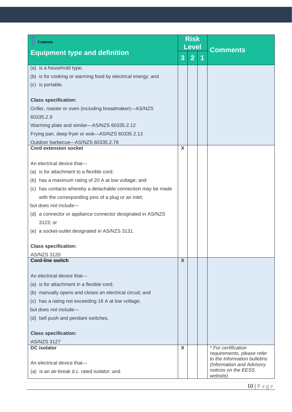<span id="page-9-2"></span><span id="page-9-1"></span><span id="page-9-0"></span>

| <b>Contents</b>                                              | <b>Risk</b><br><b>Level</b> |                |   |                                                   |
|--------------------------------------------------------------|-----------------------------|----------------|---|---------------------------------------------------|
| <b>Equipment type and definition</b>                         | 3                           | $\overline{2}$ | 1 | <b>Comments</b>                                   |
| (a) is a household type;                                     |                             |                |   |                                                   |
| (b) is for cooking or warming food by electrical energy; and |                             |                |   |                                                   |
| (c) is portable.                                             |                             |                |   |                                                   |
| <b>Class specification:</b>                                  |                             |                |   |                                                   |
| Griller, roaster or oven (including breadmaker)-AS/NZS       |                             |                |   |                                                   |
| 60335.2.9                                                    |                             |                |   |                                                   |
| Warming plate and similar-AS/NZS 60335.2.12                  |                             |                |   |                                                   |
| Frying pan, deep fryer or wok-AS/NZS 60335.2.13              |                             |                |   |                                                   |
| Outdoor barbecue-AS/NZS 60335.2.78                           |                             |                |   |                                                   |
| <b>Cord extension socket</b>                                 | X                           |                |   |                                                   |
|                                                              |                             |                |   |                                                   |
| An electrical device that-                                   |                             |                |   |                                                   |
| (a) is for attachment to a flexible cord;                    |                             |                |   |                                                   |
| (b) has a maximum rating of 20 A at low voltage; and         |                             |                |   |                                                   |
| (c) has contacts whereby a detachable connection may be made |                             |                |   |                                                   |
| with the corresponding pins of a plug or an inlet;           |                             |                |   |                                                   |
| but does not include-                                        |                             |                |   |                                                   |
| (d) a connector or appliance connector designated in AS/NZS  |                             |                |   |                                                   |
| 3123; or                                                     |                             |                |   |                                                   |
| (e) a socket-outlet designated in AS/NZS 3131.               |                             |                |   |                                                   |
| <b>Class specification:</b>                                  |                             |                |   |                                                   |
| AS/NZS 3120                                                  |                             |                |   |                                                   |
| <b>Cord-line switch</b>                                      | X                           |                |   |                                                   |
|                                                              |                             |                |   |                                                   |
| An electrical device that-                                   |                             |                |   |                                                   |
| (a) is for attachment in a flexible cord;                    |                             |                |   |                                                   |
| (b) manually opens and closes an electrical circuit; and     |                             |                |   |                                                   |
| (c) has a rating not exceeding 16 A at low voltage;          |                             |                |   |                                                   |
| but does not include-                                        |                             |                |   |                                                   |
| (d) bell push and pendant switches.                          |                             |                |   |                                                   |
| <b>Class specification:</b>                                  |                             |                |   |                                                   |
| <b>AS/NZS 3127</b>                                           |                             |                |   |                                                   |
| <b>DC</b> isolator                                           | X                           |                |   | * For certification<br>requirements, please refer |
|                                                              |                             |                |   | to the Information bulletins                      |
| An electrical device that-                                   |                             |                |   | (Information and Advisory<br>notices on the EESS  |
| (a) is an air-break d.c. rated isolator; and                 |                             |                |   | website)                                          |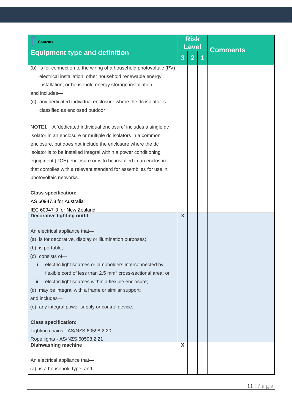<span id="page-10-1"></span><span id="page-10-0"></span>

| <b>Contents</b>                                                              | <b>Risk</b><br><b>Level</b> |                |   |                 |
|------------------------------------------------------------------------------|-----------------------------|----------------|---|-----------------|
| <b>Equipment type and definition</b>                                         | 3                           | $\overline{2}$ | 1 | <b>Comments</b> |
| (b) is for connection to the wiring of a household photovoltaic (PV)         |                             |                |   |                 |
| electrical installation, other household renewable energy                    |                             |                |   |                 |
| installation, or household energy storage installation.                      |                             |                |   |                 |
| and includes-                                                                |                             |                |   |                 |
| (c) any dedicated individual enclosure where the dc isolator is              |                             |                |   |                 |
| classified as enclosed outdoor                                               |                             |                |   |                 |
| A 'dedicated individual enclosure' includes a single dc<br>NOTE <sub>1</sub> |                             |                |   |                 |
| isolator in an enclosure or multiple dc isolators in a common                |                             |                |   |                 |
| enclosure, but does not include the enclosure where the dc                   |                             |                |   |                 |
| isolator is to be installed integral within a power conditioning             |                             |                |   |                 |
| equipment (PCE) enclosure or is to be installed in an enclosure              |                             |                |   |                 |
| that complies with a relevant standard for assemblies for use in             |                             |                |   |                 |
| photovoltaic networks.                                                       |                             |                |   |                 |
| <b>Class specification:</b>                                                  |                             |                |   |                 |
| AS 60947.3 for Australia                                                     |                             |                |   |                 |
| IEC 60947-3 for New Zealand                                                  |                             |                |   |                 |
| <b>Decorative lighting outfit</b>                                            | $\boldsymbol{\mathsf{X}}$   |                |   |                 |
| An electrical appliance that-                                                |                             |                |   |                 |
| (a) is for decorative, display or illumination purposes;                     |                             |                |   |                 |
| (b) is portable;                                                             |                             |                |   |                 |
| (c) consists of-                                                             |                             |                |   |                 |
| electric light sources or lampholders interconnected by<br>İ.                |                             |                |   |                 |
| flexible cord of less than 2.5 mm <sup>2</sup> cross-sectional area; or      |                             |                |   |                 |
| electric light sources within a flexible enclosure;<br>ii.                   |                             |                |   |                 |
| (d) may be integral with a frame or similar support;                         |                             |                |   |                 |
| and includes-                                                                |                             |                |   |                 |
| (e) any integral power supply or control device.                             |                             |                |   |                 |
| <b>Class specification:</b>                                                  |                             |                |   |                 |
| Lighting chains - AS/NZS 60598.2.20                                          |                             |                |   |                 |
| Rope lights - AS/NZS 60598.2.21                                              |                             |                |   |                 |
| <b>Dishwashing machine</b>                                                   | X                           |                |   |                 |
| An electrical appliance that-                                                |                             |                |   |                 |
| (a) is a household type; and                                                 |                             |                |   |                 |
|                                                                              |                             |                |   |                 |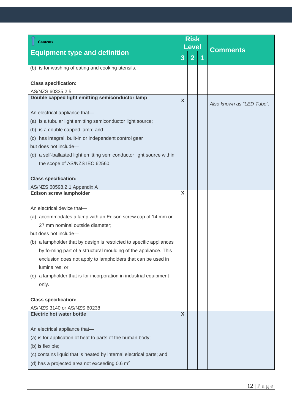<span id="page-11-2"></span><span id="page-11-1"></span><span id="page-11-0"></span>

| <b>Contents</b>                                                       | <b>Risk</b><br><b>Level</b> |                          |  |                           |
|-----------------------------------------------------------------------|-----------------------------|--------------------------|--|---------------------------|
| <b>Equipment type and definition</b>                                  |                             | $\overline{2}$<br>3<br>1 |  | <b>Comments</b>           |
| (b) is for washing of eating and cooking utensils.                    |                             |                          |  |                           |
|                                                                       |                             |                          |  |                           |
| <b>Class specification:</b>                                           |                             |                          |  |                           |
| AS/NZS 60335.2.5<br>Double capped light emitting semiconductor lamp   |                             |                          |  |                           |
|                                                                       | X                           |                          |  | Also known as "LED Tube". |
| An electrical appliance that-                                         |                             |                          |  |                           |
| (a) is a tubular light emitting semiconductor light source;           |                             |                          |  |                           |
| (b) is a double capped lamp; and                                      |                             |                          |  |                           |
| (c) has integral, built-in or independent control gear                |                             |                          |  |                           |
| but does not include-                                                 |                             |                          |  |                           |
| (d) a self-ballasted light emitting semiconductor light source within |                             |                          |  |                           |
| the scope of AS/NZS IEC 62560                                         |                             |                          |  |                           |
|                                                                       |                             |                          |  |                           |
| <b>Class specification:</b>                                           |                             |                          |  |                           |
| AS/NZS 60598.2.1 Appendix A<br><b>Edison screw lampholder</b>         | X                           |                          |  |                           |
|                                                                       |                             |                          |  |                           |
| An electrical device that-                                            |                             |                          |  |                           |
| (a) accommodates a lamp with an Edison screw cap of 14 mm or          |                             |                          |  |                           |
| 27 mm nominal outside diameter;                                       |                             |                          |  |                           |
| but does not include-                                                 |                             |                          |  |                           |
| (b) a lampholder that by design is restricted to specific appliances  |                             |                          |  |                           |
| by forming part of a structural moulding of the appliance. This       |                             |                          |  |                           |
| exclusion does not apply to lampholders that can be used in           |                             |                          |  |                           |
| luminaires; or                                                        |                             |                          |  |                           |
| (c) a lampholder that is for incorporation in industrial equipment    |                             |                          |  |                           |
| only.                                                                 |                             |                          |  |                           |
| <b>Class specification:</b>                                           |                             |                          |  |                           |
| AS/NZS 3140 or AS/NZS 60238                                           |                             |                          |  |                           |
| <b>Electric hot water bottle</b>                                      | $\mathsf{X}$                |                          |  |                           |
|                                                                       |                             |                          |  |                           |
| An electrical appliance that-                                         |                             |                          |  |                           |
| (a) is for application of heat to parts of the human body;            |                             |                          |  |                           |
| (b) is flexible;                                                      |                             |                          |  |                           |
| (c) contains liquid that is heated by internal electrical parts; and  |                             |                          |  |                           |
| (d) has a projected area not exceeding 0.6 $m2$                       |                             |                          |  |                           |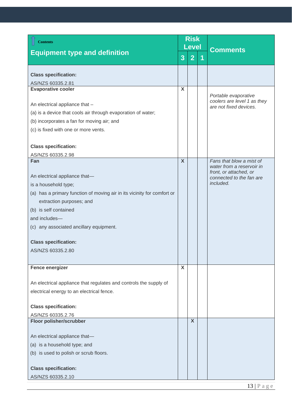<span id="page-12-3"></span><span id="page-12-2"></span><span id="page-12-1"></span><span id="page-12-0"></span>

| <b>Contents</b>                                                         | <b>Risk</b>             |                |                         |                                                     |
|-------------------------------------------------------------------------|-------------------------|----------------|-------------------------|-----------------------------------------------------|
| <b>Equipment type and definition</b>                                    |                         | <b>Level</b>   |                         | <b>Comments</b>                                     |
|                                                                         | 3                       | $\overline{2}$ | $\overline{\mathbf{1}}$ |                                                     |
| <b>Class specification:</b>                                             |                         |                |                         |                                                     |
| AS/NZS 60335.2.81                                                       |                         |                |                         |                                                     |
| <b>Evaporative cooler</b>                                               | X                       |                |                         |                                                     |
|                                                                         |                         |                |                         | Portable evaporative<br>coolers are level 1 as they |
| An electrical appliance that -                                          |                         |                |                         | are not fixed devices.                              |
| (a) is a device that cools air through evaporation of water;            |                         |                |                         |                                                     |
| (b) incorporates a fan for moving air; and                              |                         |                |                         |                                                     |
| (c) is fixed with one or more vents.                                    |                         |                |                         |                                                     |
| <b>Class specification:</b>                                             |                         |                |                         |                                                     |
| AS/NZS 60335.2.98                                                       |                         |                |                         |                                                     |
| Fan                                                                     | $\overline{\mathbf{X}}$ |                |                         | Fans that blow a mist of                            |
|                                                                         |                         |                |                         | water from a reservoir in<br>front, or attached, or |
| An electrical appliance that-                                           |                         |                |                         | connected to the fan are                            |
| is a household type;                                                    |                         |                |                         | included.                                           |
| (a) has a primary function of moving air in its vicinity for comfort or |                         |                |                         |                                                     |
| extraction purposes; and                                                |                         |                |                         |                                                     |
| (b) is self contained                                                   |                         |                |                         |                                                     |
| and includes-                                                           |                         |                |                         |                                                     |
| (c) any associated ancillary equipment.                                 |                         |                |                         |                                                     |
| <b>Class specification:</b>                                             |                         |                |                         |                                                     |
| AS/NZS 60335.2.80                                                       |                         |                |                         |                                                     |
|                                                                         |                         |                |                         |                                                     |
| <b>Fence energizer</b>                                                  | X                       |                |                         |                                                     |
|                                                                         |                         |                |                         |                                                     |
| An electrical appliance that regulates and controls the supply of       |                         |                |                         |                                                     |
| electrical energy to an electrical fence.                               |                         |                |                         |                                                     |
| <b>Class specification:</b>                                             |                         |                |                         |                                                     |
| AS/NZS 60335.2.76                                                       |                         |                |                         |                                                     |
| <b>Floor polisher/scrubber</b>                                          |                         | $\mathsf{x}$   |                         |                                                     |
|                                                                         |                         |                |                         |                                                     |
| An electrical appliance that-                                           |                         |                |                         |                                                     |
| (a) is a household type; and                                            |                         |                |                         |                                                     |
| (b) is used to polish or scrub floors.                                  |                         |                |                         |                                                     |
|                                                                         |                         |                |                         |                                                     |
| <b>Class specification:</b>                                             |                         |                |                         |                                                     |
| AS/NZS 60335.2.10                                                       |                         |                |                         |                                                     |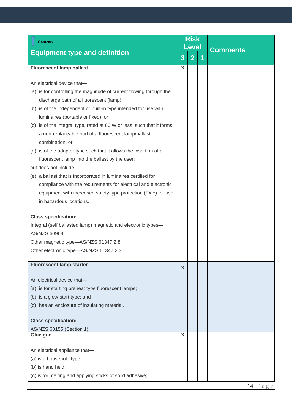<span id="page-13-2"></span><span id="page-13-1"></span><span id="page-13-0"></span>

| <b>Contents</b>                                                                                                                                                                                                                                                                                                                                                                                                                                                                                                                                                                                                                                                                                                                                                   |   | <b>Risk</b><br><b>Level</b> |   |                 |  |  |
|-------------------------------------------------------------------------------------------------------------------------------------------------------------------------------------------------------------------------------------------------------------------------------------------------------------------------------------------------------------------------------------------------------------------------------------------------------------------------------------------------------------------------------------------------------------------------------------------------------------------------------------------------------------------------------------------------------------------------------------------------------------------|---|-----------------------------|---|-----------------|--|--|
| <b>Equipment type and definition</b>                                                                                                                                                                                                                                                                                                                                                                                                                                                                                                                                                                                                                                                                                                                              | 3 | $\overline{2}$              | 1 | <b>Comments</b> |  |  |
| <b>Fluorescent lamp ballast</b>                                                                                                                                                                                                                                                                                                                                                                                                                                                                                                                                                                                                                                                                                                                                   | X |                             |   |                 |  |  |
| An electrical device that-<br>(a) is for controlling the magnitude of current flowing through the<br>discharge path of a fluorescent (lamp);<br>(b) is of the independent or built-in type intended for use with<br>luminaires (portable or fixed); or<br>(c) is of the integral type, rated at 60 W or less, such that it forms<br>a non-replaceable part of a fluorescent lamp/ballast<br>combination; or<br>(d) is of the adaptor type such that it allows the insertion of a<br>fluorescent lamp into the ballast by the user;<br>but does not include-<br>(e) a ballast that is incorporated in luminaires certified for<br>compliance with the requirements for electrical and electronic<br>equipment with increased safety type protection (Ex e) for use |   |                             |   |                 |  |  |
| in hazardous locations.<br><b>Class specification:</b><br>Integral (self ballasted lamp) magnetic and electronic types-<br>AS/NZS 60968<br>Other magnetic type-AS/NZS 61347.2.8<br>Other electronic type-AS/NZS 61347.2.3                                                                                                                                                                                                                                                                                                                                                                                                                                                                                                                                         |   |                             |   |                 |  |  |
| <b>Fluorescent lamp starter</b><br>An electrical device that-<br>(a) is for starting preheat type fluorescent lamps;<br>(b) is a glow-start type; and<br>(c) has an enclosure of insulating material.<br><b>Class specification:</b><br>AS/NZS 60155 (Section 1)                                                                                                                                                                                                                                                                                                                                                                                                                                                                                                  | X |                             |   |                 |  |  |
| Glue gun<br>An electrical appliance that-<br>(a) is a household type;<br>(b) is hand held;<br>(c) is for melting and applying sticks of solid adhesive;                                                                                                                                                                                                                                                                                                                                                                                                                                                                                                                                                                                                           | X |                             |   |                 |  |  |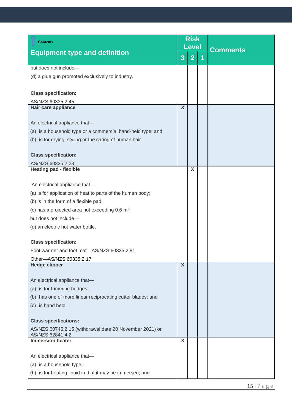<span id="page-14-3"></span><span id="page-14-2"></span><span id="page-14-1"></span><span id="page-14-0"></span>

| <b>Contents</b>                                                             | <b>Risk</b>               |                |                      |                 |  |
|-----------------------------------------------------------------------------|---------------------------|----------------|----------------------|-----------------|--|
| <b>Equipment type and definition</b>                                        |                           | <b>Level</b>   |                      | <b>Comments</b> |  |
|                                                                             | 3                         | $\overline{2}$ | $\blacktriangleleft$ |                 |  |
| but does not include-                                                       |                           |                |                      |                 |  |
| (d) a glue gun promoted exclusively to industry.                            |                           |                |                      |                 |  |
|                                                                             |                           |                |                      |                 |  |
| <b>Class specification:</b>                                                 |                           |                |                      |                 |  |
| AS/NZS 60335.2.45                                                           |                           |                |                      |                 |  |
| Hair care appliance                                                         | $\boldsymbol{\mathsf{X}}$ |                |                      |                 |  |
| An electrical appliance that-                                               |                           |                |                      |                 |  |
| (a) is a household type or a commercial hand-held type; and                 |                           |                |                      |                 |  |
|                                                                             |                           |                |                      |                 |  |
| (b) is for drying, styling or the caring of human hair.                     |                           |                |                      |                 |  |
| <b>Class specification:</b>                                                 |                           |                |                      |                 |  |
| AS/NZS 60335.2.23                                                           |                           |                |                      |                 |  |
| <b>Heating pad - flexible</b>                                               |                           | X              |                      |                 |  |
|                                                                             |                           |                |                      |                 |  |
| An electrical appliance that-                                               |                           |                |                      |                 |  |
| (a) is for application of heat to parts of the human body;                  |                           |                |                      |                 |  |
| (b) is in the form of a flexible pad;                                       |                           |                |                      |                 |  |
| (c) has a projected area not exceeding $0.6 \text{ m}^2$ ;                  |                           |                |                      |                 |  |
| but does not include-                                                       |                           |                |                      |                 |  |
| (d) an electric hot water bottle.                                           |                           |                |                      |                 |  |
| <b>Class specification:</b>                                                 |                           |                |                      |                 |  |
| Foot warmer and foot mat-AS/NZS 60335.2.81                                  |                           |                |                      |                 |  |
| Other-AS/NZS 60335.2.17                                                     |                           |                |                      |                 |  |
| <b>Hedge clipper</b>                                                        | $\boldsymbol{\mathsf{X}}$ |                |                      |                 |  |
|                                                                             |                           |                |                      |                 |  |
| An electrical appliance that-                                               |                           |                |                      |                 |  |
| (a) is for trimming hedges;                                                 |                           |                |                      |                 |  |
| (b) has one of more linear reciprocating cutter blades; and                 |                           |                |                      |                 |  |
| (c) is hand held.                                                           |                           |                |                      |                 |  |
| <b>Class specifications:</b>                                                |                           |                |                      |                 |  |
| AS/NZS 60745.2.15 (withdrawal date 20 November 2021) or<br>AS/NZS 62841.4.2 |                           |                |                      |                 |  |
| <b>Immersion heater</b>                                                     | X                         |                |                      |                 |  |
|                                                                             |                           |                |                      |                 |  |
| An electrical appliance that-                                               |                           |                |                      |                 |  |
| (a) is a household type;                                                    |                           |                |                      |                 |  |
| (b) is for heating liquid in that it may be immersed; and                   |                           |                |                      |                 |  |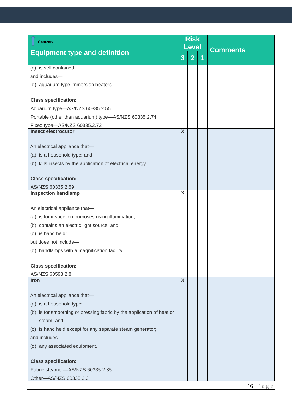<span id="page-15-2"></span><span id="page-15-1"></span><span id="page-15-0"></span>

| <b>Contents</b>                                                       | <b>Risk</b>               |                |   |                 |  |  |  |  |  |  |  |  |  |  |  |  |  |  |  |  |  |  |  |  |  |  |  |  |  |  |  |  |  |  |  |
|-----------------------------------------------------------------------|---------------------------|----------------|---|-----------------|--|--|--|--|--|--|--|--|--|--|--|--|--|--|--|--|--|--|--|--|--|--|--|--|--|--|--|--|--|--|--|
|                                                                       |                           | <b>Level</b>   |   | <b>Comments</b> |  |  |  |  |  |  |  |  |  |  |  |  |  |  |  |  |  |  |  |  |  |  |  |  |  |  |  |  |  |  |  |
| <b>Equipment type and definition</b>                                  | 3                         | $\overline{2}$ | 1 |                 |  |  |  |  |  |  |  |  |  |  |  |  |  |  |  |  |  |  |  |  |  |  |  |  |  |  |  |  |  |  |  |
| (c) is self contained;                                                |                           |                |   |                 |  |  |  |  |  |  |  |  |  |  |  |  |  |  |  |  |  |  |  |  |  |  |  |  |  |  |  |  |  |  |  |
| and includes-                                                         |                           |                |   |                 |  |  |  |  |  |  |  |  |  |  |  |  |  |  |  |  |  |  |  |  |  |  |  |  |  |  |  |  |  |  |  |
| (d) aquarium type immersion heaters.                                  |                           |                |   |                 |  |  |  |  |  |  |  |  |  |  |  |  |  |  |  |  |  |  |  |  |  |  |  |  |  |  |  |  |  |  |  |
| <b>Class specification:</b>                                           |                           |                |   |                 |  |  |  |  |  |  |  |  |  |  |  |  |  |  |  |  |  |  |  |  |  |  |  |  |  |  |  |  |  |  |  |
| Aquarium type-AS/NZS 60335.2.55                                       |                           |                |   |                 |  |  |  |  |  |  |  |  |  |  |  |  |  |  |  |  |  |  |  |  |  |  |  |  |  |  |  |  |  |  |  |
| Portable (other than aquarium) type-AS/NZS 60335.2.74                 |                           |                |   |                 |  |  |  |  |  |  |  |  |  |  |  |  |  |  |  |  |  |  |  |  |  |  |  |  |  |  |  |  |  |  |  |
| Fixed type-AS/NZS 60335.2.73                                          |                           |                |   |                 |  |  |  |  |  |  |  |  |  |  |  |  |  |  |  |  |  |  |  |  |  |  |  |  |  |  |  |  |  |  |  |
| <b>Insect electrocutor</b>                                            | $\boldsymbol{\mathsf{X}}$ |                |   |                 |  |  |  |  |  |  |  |  |  |  |  |  |  |  |  |  |  |  |  |  |  |  |  |  |  |  |  |  |  |  |  |
|                                                                       |                           |                |   |                 |  |  |  |  |  |  |  |  |  |  |  |  |  |  |  |  |  |  |  |  |  |  |  |  |  |  |  |  |  |  |  |
| An electrical appliance that-                                         |                           |                |   |                 |  |  |  |  |  |  |  |  |  |  |  |  |  |  |  |  |  |  |  |  |  |  |  |  |  |  |  |  |  |  |  |
| (a) is a household type; and                                          |                           |                |   |                 |  |  |  |  |  |  |  |  |  |  |  |  |  |  |  |  |  |  |  |  |  |  |  |  |  |  |  |  |  |  |  |
| (b) kills insects by the application of electrical energy.            |                           |                |   |                 |  |  |  |  |  |  |  |  |  |  |  |  |  |  |  |  |  |  |  |  |  |  |  |  |  |  |  |  |  |  |  |
|                                                                       |                           |                |   |                 |  |  |  |  |  |  |  |  |  |  |  |  |  |  |  |  |  |  |  |  |  |  |  |  |  |  |  |  |  |  |  |
| <b>Class specification:</b>                                           |                           |                |   |                 |  |  |  |  |  |  |  |  |  |  |  |  |  |  |  |  |  |  |  |  |  |  |  |  |  |  |  |  |  |  |  |
| AS/NZS 60335.2.59<br><b>Inspection handlamp</b>                       | X                         |                |   |                 |  |  |  |  |  |  |  |  |  |  |  |  |  |  |  |  |  |  |  |  |  |  |  |  |  |  |  |  |  |  |  |
|                                                                       |                           |                |   |                 |  |  |  |  |  |  |  |  |  |  |  |  |  |  |  |  |  |  |  |  |  |  |  |  |  |  |  |  |  |  |  |
| An electrical appliance that-                                         |                           |                |   |                 |  |  |  |  |  |  |  |  |  |  |  |  |  |  |  |  |  |  |  |  |  |  |  |  |  |  |  |  |  |  |  |
| (a) is for inspection purposes using illumination;                    |                           |                |   |                 |  |  |  |  |  |  |  |  |  |  |  |  |  |  |  |  |  |  |  |  |  |  |  |  |  |  |  |  |  |  |  |
| (b) contains an electric light source; and                            |                           |                |   |                 |  |  |  |  |  |  |  |  |  |  |  |  |  |  |  |  |  |  |  |  |  |  |  |  |  |  |  |  |  |  |  |
| (c) is hand held;                                                     |                           |                |   |                 |  |  |  |  |  |  |  |  |  |  |  |  |  |  |  |  |  |  |  |  |  |  |  |  |  |  |  |  |  |  |  |
| but does not include-                                                 |                           |                |   |                 |  |  |  |  |  |  |  |  |  |  |  |  |  |  |  |  |  |  |  |  |  |  |  |  |  |  |  |  |  |  |  |
| (d) handlamps with a magnification facility.                          |                           |                |   |                 |  |  |  |  |  |  |  |  |  |  |  |  |  |  |  |  |  |  |  |  |  |  |  |  |  |  |  |  |  |  |  |
|                                                                       |                           |                |   |                 |  |  |  |  |  |  |  |  |  |  |  |  |  |  |  |  |  |  |  |  |  |  |  |  |  |  |  |  |  |  |  |
| <b>Class specification:</b>                                           |                           |                |   |                 |  |  |  |  |  |  |  |  |  |  |  |  |  |  |  |  |  |  |  |  |  |  |  |  |  |  |  |  |  |  |  |
| AS/NZS 60598.2.8                                                      |                           |                |   |                 |  |  |  |  |  |  |  |  |  |  |  |  |  |  |  |  |  |  |  |  |  |  |  |  |  |  |  |  |  |  |  |
| <b>Iron</b>                                                           | X                         |                |   |                 |  |  |  |  |  |  |  |  |  |  |  |  |  |  |  |  |  |  |  |  |  |  |  |  |  |  |  |  |  |  |  |
| An electrical appliance that-                                         |                           |                |   |                 |  |  |  |  |  |  |  |  |  |  |  |  |  |  |  |  |  |  |  |  |  |  |  |  |  |  |  |  |  |  |  |
| (a) is a household type;                                              |                           |                |   |                 |  |  |  |  |  |  |  |  |  |  |  |  |  |  |  |  |  |  |  |  |  |  |  |  |  |  |  |  |  |  |  |
| (b) is for smoothing or pressing fabric by the application of heat or |                           |                |   |                 |  |  |  |  |  |  |  |  |  |  |  |  |  |  |  |  |  |  |  |  |  |  |  |  |  |  |  |  |  |  |  |
| steam; and                                                            |                           |                |   |                 |  |  |  |  |  |  |  |  |  |  |  |  |  |  |  |  |  |  |  |  |  |  |  |  |  |  |  |  |  |  |  |
| (c) is hand held except for any separate steam generator;             |                           |                |   |                 |  |  |  |  |  |  |  |  |  |  |  |  |  |  |  |  |  |  |  |  |  |  |  |  |  |  |  |  |  |  |  |
| and includes-                                                         |                           |                |   |                 |  |  |  |  |  |  |  |  |  |  |  |  |  |  |  |  |  |  |  |  |  |  |  |  |  |  |  |  |  |  |  |
| (d) any associated equipment.                                         |                           |                |   |                 |  |  |  |  |  |  |  |  |  |  |  |  |  |  |  |  |  |  |  |  |  |  |  |  |  |  |  |  |  |  |  |
|                                                                       |                           |                |   |                 |  |  |  |  |  |  |  |  |  |  |  |  |  |  |  |  |  |  |  |  |  |  |  |  |  |  |  |  |  |  |  |
| <b>Class specification:</b>                                           |                           |                |   |                 |  |  |  |  |  |  |  |  |  |  |  |  |  |  |  |  |  |  |  |  |  |  |  |  |  |  |  |  |  |  |  |
| Fabric steamer-AS/NZS 60335.2.85                                      |                           |                |   |                 |  |  |  |  |  |  |  |  |  |  |  |  |  |  |  |  |  |  |  |  |  |  |  |  |  |  |  |  |  |  |  |
| Other-AS/NZS 60335.2.3                                                |                           |                |   |                 |  |  |  |  |  |  |  |  |  |  |  |  |  |  |  |  |  |  |  |  |  |  |  |  |  |  |  |  |  |  |  |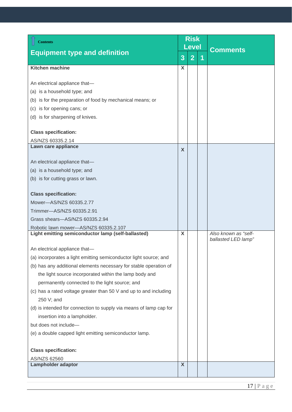<span id="page-16-3"></span><span id="page-16-2"></span><span id="page-16-1"></span><span id="page-16-0"></span>

| <b>Contents</b>                                                    | <b>Risk</b><br><b>Level</b> |                |   |                                             |  |
|--------------------------------------------------------------------|-----------------------------|----------------|---|---------------------------------------------|--|
| <b>Equipment type and definition</b>                               | 3                           | $\overline{2}$ | 1 | <b>Comments</b>                             |  |
| <b>Kitchen machine</b>                                             | $\boldsymbol{\mathsf{X}}$   |                |   |                                             |  |
|                                                                    |                             |                |   |                                             |  |
| An electrical appliance that-                                      |                             |                |   |                                             |  |
| (a) is a household type; and                                       |                             |                |   |                                             |  |
| (b) is for the preparation of food by mechanical means; or         |                             |                |   |                                             |  |
| (c) is for opening cans; or                                        |                             |                |   |                                             |  |
| (d) is for sharpening of knives.                                   |                             |                |   |                                             |  |
| <b>Class specification:</b>                                        |                             |                |   |                                             |  |
| AS/NZS 60335.2.14                                                  |                             |                |   |                                             |  |
| Lawn care appliance                                                | X                           |                |   |                                             |  |
| An electrical appliance that-                                      |                             |                |   |                                             |  |
| (a) is a household type; and                                       |                             |                |   |                                             |  |
| (b) is for cutting grass or lawn.                                  |                             |                |   |                                             |  |
|                                                                    |                             |                |   |                                             |  |
| <b>Class specification:</b>                                        |                             |                |   |                                             |  |
| Mower-AS/NZS 60335.2.77                                            |                             |                |   |                                             |  |
| Trimmer-AS/NZS 60335.2.91                                          |                             |                |   |                                             |  |
| Grass shears-AS/NZS 60335.2.94                                     |                             |                |   |                                             |  |
| Robotic lawn mower-AS/NZS 60335.2.107                              |                             |                |   |                                             |  |
| Light emitting semiconductor lamp (self-ballasted)                 | X                           |                |   | Also known as "self-<br>ballasted LED lamp" |  |
| An electrical appliance that-                                      |                             |                |   |                                             |  |
| (a) incorporates a light emitting semiconductor light source; and  |                             |                |   |                                             |  |
| (b) has any additional elements necessary for stable operation of  |                             |                |   |                                             |  |
| the light source incorporated within the lamp body and             |                             |                |   |                                             |  |
| permanently connected to the light source; and                     |                             |                |   |                                             |  |
| (c) has a rated voltage greater than 50 V and up to and including  |                             |                |   |                                             |  |
| 250 V; and                                                         |                             |                |   |                                             |  |
| (d) is intended for connection to supply via means of lamp cap for |                             |                |   |                                             |  |
| insertion into a lampholder.                                       |                             |                |   |                                             |  |
| but does not include-                                              |                             |                |   |                                             |  |
| (e) a double capped light emitting semiconductor lamp.             |                             |                |   |                                             |  |
|                                                                    |                             |                |   |                                             |  |
| <b>Class specification:</b>                                        |                             |                |   |                                             |  |
| AS/NZS 62560<br><b>Lampholder adaptor</b>                          | X                           |                |   |                                             |  |
|                                                                    |                             |                |   |                                             |  |
|                                                                    |                             |                |   |                                             |  |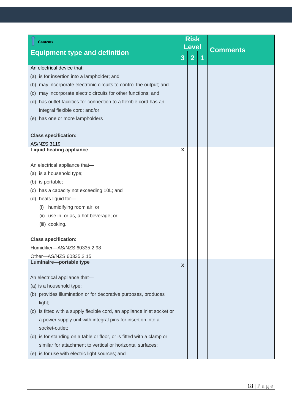<span id="page-17-1"></span><span id="page-17-0"></span>

| <b>Contents</b>                                                         |   | <b>Risk</b><br><b>Level</b> |   |                 |
|-------------------------------------------------------------------------|---|-----------------------------|---|-----------------|
| <b>Equipment type and definition</b>                                    | 3 | $\overline{2}$              | 1 | <b>Comments</b> |
| An electrical device that:                                              |   |                             |   |                 |
| (a) is for insertion into a lampholder; and                             |   |                             |   |                 |
| may incorporate electronic circuits to control the output; and<br>(b)   |   |                             |   |                 |
| may incorporate electric circuits for other functions; and<br>(c)       |   |                             |   |                 |
| has outlet facilities for connection to a flexible cord has an<br>(d)   |   |                             |   |                 |
| integral flexible cord; and/or                                          |   |                             |   |                 |
| (e) has one or more lampholders                                         |   |                             |   |                 |
| <b>Class specification:</b>                                             |   |                             |   |                 |
| <b>AS/NZS 3119</b>                                                      |   |                             |   |                 |
| <b>Liquid heating appliance</b>                                         | X |                             |   |                 |
| An electrical appliance that-                                           |   |                             |   |                 |
| (a) is a household type;                                                |   |                             |   |                 |
| (b) is portable;                                                        |   |                             |   |                 |
| has a capacity not exceeding 10L; and<br>(C)                            |   |                             |   |                 |
| (d) heats liquid for-                                                   |   |                             |   |                 |
| humidifying room air; or<br>(i)                                         |   |                             |   |                 |
| use in, or as, a hot beverage; or<br>(ii)                               |   |                             |   |                 |
| (iii) cooking.                                                          |   |                             |   |                 |
|                                                                         |   |                             |   |                 |
| <b>Class specification:</b>                                             |   |                             |   |                 |
| Humidifier-AS/NZS 60335.2.98                                            |   |                             |   |                 |
| Other-AS/NZS 60335.2.15<br>Luminaire-portable type                      |   |                             |   |                 |
|                                                                         | X |                             |   |                 |
| An electrical appliance that-                                           |   |                             |   |                 |
| (a) is a household type;                                                |   |                             |   |                 |
| (b) provides illumination or for decorative purposes, produces          |   |                             |   |                 |
| light;                                                                  |   |                             |   |                 |
| (c) is fitted with a supply flexible cord, an appliance inlet socket or |   |                             |   |                 |
| a power supply unit with integral pins for insertion into a             |   |                             |   |                 |
| socket-outlet;                                                          |   |                             |   |                 |
| (d) is for standing on a table or floor, or is fitted with a clamp or   |   |                             |   |                 |
| similar for attachment to vertical or horizontal surfaces;              |   |                             |   |                 |
| (e) is for use with electric light sources; and                         |   |                             |   |                 |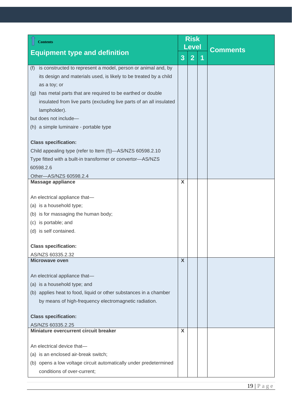<span id="page-18-2"></span><span id="page-18-1"></span><span id="page-18-0"></span>

| <b>Contents</b>                                                      |   | <b>Risk</b><br><b>Level</b> |   |                 |  |
|----------------------------------------------------------------------|---|-----------------------------|---|-----------------|--|
| <b>Equipment type and definition</b>                                 | 3 | $\overline{2}$              | 1 | <b>Comments</b> |  |
| is constructed to represent a model, person or animal and, by<br>(f) |   |                             |   |                 |  |
| its design and materials used, is likely to be treated by a child    |   |                             |   |                 |  |
| as a toy; or                                                         |   |                             |   |                 |  |
| (g) has metal parts that are required to be earthed or double        |   |                             |   |                 |  |
| insulated from live parts (excluding live parts of an all insulated  |   |                             |   |                 |  |
| lampholder).                                                         |   |                             |   |                 |  |
| but does not include-                                                |   |                             |   |                 |  |
| (h) a simple luminaire - portable type                               |   |                             |   |                 |  |
| <b>Class specification:</b>                                          |   |                             |   |                 |  |
| Child appealing type (refer to Item (f))-AS/NZS 60598.2.10           |   |                             |   |                 |  |
| Type fitted with a built-in transformer or convertor-AS/NZS          |   |                             |   |                 |  |
| 60598.2.6                                                            |   |                             |   |                 |  |
| Other-AS/NZS 60598.2.4                                               |   |                             |   |                 |  |
| <b>Massage appliance</b>                                             | X |                             |   |                 |  |
| An electrical appliance that-                                        |   |                             |   |                 |  |
| (a) is a household type;                                             |   |                             |   |                 |  |
| (b) is for massaging the human body;                                 |   |                             |   |                 |  |
| (c) is portable; and                                                 |   |                             |   |                 |  |
| (d) is self contained.                                               |   |                             |   |                 |  |
| <b>Class specification:</b>                                          |   |                             |   |                 |  |
| AS/NZS 60335.2.32                                                    |   |                             |   |                 |  |
| Microwaye oven                                                       | X |                             |   |                 |  |
|                                                                      |   |                             |   |                 |  |
| An electrical appliance that-                                        |   |                             |   |                 |  |
| (a) is a household type; and                                         |   |                             |   |                 |  |
| (b) applies heat to food, liquid or other substances in a chamber    |   |                             |   |                 |  |
| by means of high-frequency electromagnetic radiation.                |   |                             |   |                 |  |
| <b>Class specification:</b>                                          |   |                             |   |                 |  |
| AS/NZS 60335.2.25                                                    |   |                             |   |                 |  |
| Miniature overcurrent circuit breaker                                | X |                             |   |                 |  |
| An electrical device that-                                           |   |                             |   |                 |  |
| (a) is an enclosed air-break switch;                                 |   |                             |   |                 |  |
| (b) opens a low voltage circuit automatically under predetermined    |   |                             |   |                 |  |
| conditions of over-current;                                          |   |                             |   |                 |  |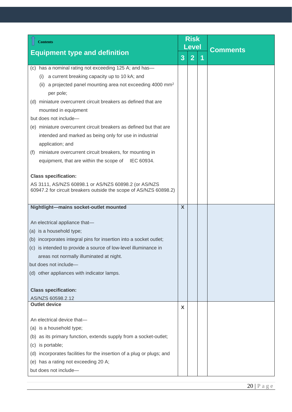<span id="page-19-1"></span><span id="page-19-0"></span>

| <b>Contents</b>                                                                                                           |   | <b>Risk</b><br><b>Level</b> |   |                 |
|---------------------------------------------------------------------------------------------------------------------------|---|-----------------------------|---|-----------------|
| <b>Equipment type and definition</b>                                                                                      | 3 | $\overline{2}$              | 1 | <b>Comments</b> |
| has a nominal rating not exceeding 125 A; and has-<br>(C)                                                                 |   |                             |   |                 |
| a current breaking capacity up to 10 kA; and<br>(i)                                                                       |   |                             |   |                 |
| (ii) a projected panel mounting area not exceeding 4000 mm <sup>2</sup><br>per pole;                                      |   |                             |   |                 |
| miniature overcurrent circuit breakers as defined that are<br>(d)                                                         |   |                             |   |                 |
| mounted in equipment                                                                                                      |   |                             |   |                 |
| but does not include-                                                                                                     |   |                             |   |                 |
| (e) miniature overcurrent circuit breakers as defined but that are                                                        |   |                             |   |                 |
| intended and marked as being only for use in industrial                                                                   |   |                             |   |                 |
| application; and                                                                                                          |   |                             |   |                 |
| miniature overcurrent circuit breakers, for mounting in<br>(f)                                                            |   |                             |   |                 |
| equipment, that are within the scope of IEC 60934.                                                                        |   |                             |   |                 |
|                                                                                                                           |   |                             |   |                 |
| <b>Class specification:</b>                                                                                               |   |                             |   |                 |
| AS 3111, AS/NZS 60898.1 or AS/NZS 60898.2 (or AS/NZS<br>60947.2 for circuit breakers outside the scope of AS/NZS 60898.2) |   |                             |   |                 |
|                                                                                                                           |   |                             |   |                 |
| Nightlight-mains socket-outlet mounted                                                                                    | X |                             |   |                 |
|                                                                                                                           |   |                             |   |                 |
| An electrical appliance that-                                                                                             |   |                             |   |                 |
| (a) is a household type;                                                                                                  |   |                             |   |                 |
| (b) incorporates integral pins for insertion into a socket outlet;                                                        |   |                             |   |                 |
| (c) is intended to provide a source of low-level illuminance in                                                           |   |                             |   |                 |
| areas not normally illuminated at night.                                                                                  |   |                             |   |                 |
| but does not include-                                                                                                     |   |                             |   |                 |
| (d) other appliances with indicator lamps.                                                                                |   |                             |   |                 |
|                                                                                                                           |   |                             |   |                 |
| <b>Class specification:</b>                                                                                               |   |                             |   |                 |
| AS/NZS 60598.2.12<br><b>Outlet device</b>                                                                                 |   |                             |   |                 |
|                                                                                                                           | X |                             |   |                 |
| An electrical device that-                                                                                                |   |                             |   |                 |
| (a) is a household type;                                                                                                  |   |                             |   |                 |
| (b) as its primary function, extends supply from a socket-outlet;                                                         |   |                             |   |                 |
| is portable;<br>(c)                                                                                                       |   |                             |   |                 |
| (d) incorporates facilities for the insertion of a plug or plugs; and                                                     |   |                             |   |                 |
| (e) has a rating not exceeding 20 A;                                                                                      |   |                             |   |                 |
| but does not include-                                                                                                     |   |                             |   |                 |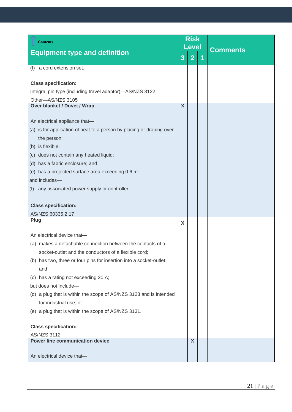<span id="page-20-2"></span><span id="page-20-1"></span><span id="page-20-0"></span>

| <b>Contents</b>                                                       | <b>Risk</b> |                |  |                 |
|-----------------------------------------------------------------------|-------------|----------------|--|-----------------|
| <b>Equipment type and definition</b>                                  |             | <b>Level</b>   |  | <b>Comments</b> |
|                                                                       | 3           | $\overline{2}$ |  |                 |
| (f) a cord extension set.                                             |             |                |  |                 |
|                                                                       |             |                |  |                 |
| <b>Class specification:</b>                                           |             |                |  |                 |
| Integral pin type (including travel adaptor)-AS/NZS 3122              |             |                |  |                 |
| Other-AS/NZS 3105<br><b>Over blanket / Duvet / Wrap</b>               | X           |                |  |                 |
|                                                                       |             |                |  |                 |
| An electrical appliance that-                                         |             |                |  |                 |
| (a) is for application of heat to a person by placing or draping over |             |                |  |                 |
| the person;                                                           |             |                |  |                 |
| (b) is flexible;                                                      |             |                |  |                 |
| (c) does not contain any heated liquid;                               |             |                |  |                 |
| (d) has a fabric enclosure; and                                       |             |                |  |                 |
| (e) has a projected surface area exceeding $0.6 \text{ m}^2$ ;        |             |                |  |                 |
| and includes-                                                         |             |                |  |                 |
| any associated power supply or controller.<br>(f)                     |             |                |  |                 |
|                                                                       |             |                |  |                 |
| <b>Class specification:</b>                                           |             |                |  |                 |
| AS/NZS 60335.2.17                                                     |             |                |  |                 |
| Plug                                                                  | X           |                |  |                 |
| An electrical device that-                                            |             |                |  |                 |
| (a) makes a detachable connection between the contacts of a           |             |                |  |                 |
| socket-outlet and the conductors of a flexible cord;                  |             |                |  |                 |
| (b) has two, three or four pins for insertion into a socket-outlet;   |             |                |  |                 |
| and                                                                   |             |                |  |                 |
| (c) has a rating not exceeding 20 A;                                  |             |                |  |                 |
| but does not include-                                                 |             |                |  |                 |
| (d) a plug that is within the scope of AS/NZS 3123 and is intended    |             |                |  |                 |
| for industrial use; or                                                |             |                |  |                 |
| (e) a plug that is within the scope of AS/NZS 3131.                   |             |                |  |                 |
|                                                                       |             |                |  |                 |
| <b>Class specification:</b>                                           |             |                |  |                 |
| <b>AS/NZS 3112</b><br><b>Power line communication device</b>          |             | X              |  |                 |
|                                                                       |             |                |  |                 |
| An electrical device that-                                            |             |                |  |                 |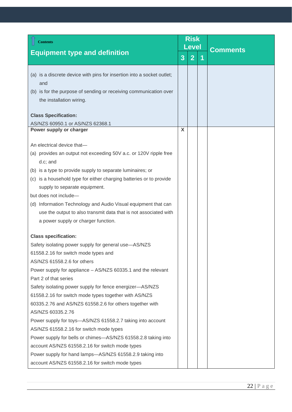<span id="page-21-0"></span>

| <b>Contents</b>                                                                                                                                                                                                                                                                                                                                                                                                                                                                                                                                                                                                     |   | <b>Risk</b><br><b>Level</b> |   |                 |  |
|---------------------------------------------------------------------------------------------------------------------------------------------------------------------------------------------------------------------------------------------------------------------------------------------------------------------------------------------------------------------------------------------------------------------------------------------------------------------------------------------------------------------------------------------------------------------------------------------------------------------|---|-----------------------------|---|-----------------|--|
| <b>Equipment type and definition</b>                                                                                                                                                                                                                                                                                                                                                                                                                                                                                                                                                                                | 3 | $\overline{2}$              | 1 | <b>Comments</b> |  |
| (a) is a discrete device with pins for insertion into a socket outlet;<br>and<br>(b) is for the purpose of sending or receiving communication over<br>the installation wiring.                                                                                                                                                                                                                                                                                                                                                                                                                                      |   |                             |   |                 |  |
| <b>Class Specification:</b><br>AS/NZS 60950.1 or AS/NZS 62368.1                                                                                                                                                                                                                                                                                                                                                                                                                                                                                                                                                     |   |                             |   |                 |  |
| Power supply or charger                                                                                                                                                                                                                                                                                                                                                                                                                                                                                                                                                                                             | X |                             |   |                 |  |
| An electrical device that-<br>(a) provides an output not exceeding 50V a.c. or 120V ripple free<br>d.c; and<br>(b) is a type to provide supply to separate luminaires; or<br>(c) is a household type for either charging batteries or to provide<br>supply to separate equipment.<br>but does not include-<br>(d) Information Technology and Audio Visual equipment that can<br>use the output to also transmit data that is not associated with<br>a power supply or charger function.                                                                                                                             |   |                             |   |                 |  |
| <b>Class specification:</b><br>Safety isolating power supply for general use-AS/NZS<br>61558.2.16 for switch mode types and                                                                                                                                                                                                                                                                                                                                                                                                                                                                                         |   |                             |   |                 |  |
| AS/NZS 61558.2.6 for others<br>Power supply for appliance - AS/NZS 60335.1 and the relevant<br>Part 2 of that series<br>Safety isolating power supply for fence energizer-AS/NZS<br>61558.2.16 for switch mode types together with AS/NZS<br>60335.2.76 and AS/NZS 61558.2.6 for others together with<br>AS/NZS 60335.2.76<br>Power supply for toys—AS/NZS 61558.2.7 taking into account<br>AS/NZS 61558.2.16 for switch mode types<br>Power supply for bells or chimes-AS/NZS 61558.2.8 taking into<br>account AS/NZS 61558.2.16 for switch mode types<br>Power supply for hand lamps-AS/NZS 61558.2.9 taking into |   |                             |   |                 |  |
| account AS/NZS 61558.2.16 for switch mode types                                                                                                                                                                                                                                                                                                                                                                                                                                                                                                                                                                     |   |                             |   |                 |  |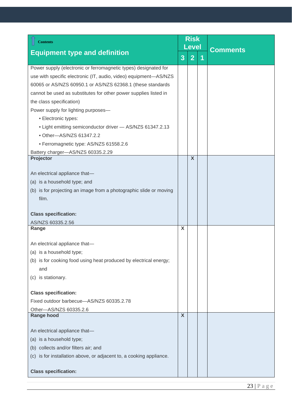<span id="page-22-2"></span><span id="page-22-1"></span><span id="page-22-0"></span>

| <b>Contents</b>                                                                       | <b>Risk</b><br><b>Level</b> |                |   |                 |
|---------------------------------------------------------------------------------------|-----------------------------|----------------|---|-----------------|
| <b>Equipment type and definition</b>                                                  | 3                           | $\overline{2}$ | 1 | <b>Comments</b> |
| Power supply (electronic or ferromagnetic types) designated for                       |                             |                |   |                 |
| use with specific electronic (IT, audio, video) equipment-AS/NZS                      |                             |                |   |                 |
| 60065 or AS/NZS 60950.1 or AS/NZS 62368.1 (these standards                            |                             |                |   |                 |
| cannot be used as substitutes for other power supplies listed in                      |                             |                |   |                 |
| the class specification)                                                              |                             |                |   |                 |
| Power supply for lighting purposes-                                                   |                             |                |   |                 |
| • Electronic types:                                                                   |                             |                |   |                 |
| • Light emitting semiconductor driver - AS/NZS 61347.2.13<br>• Other-AS/NZS 61347.2.2 |                             |                |   |                 |
| • Ferromagnetic type: AS/NZS 61558.2.6                                                |                             |                |   |                 |
| Battery charger-AS/NZS 60335.2.29                                                     |                             |                |   |                 |
| Projector                                                                             |                             | $\mathsf{X}$   |   |                 |
|                                                                                       |                             |                |   |                 |
| An electrical appliance that-                                                         |                             |                |   |                 |
| (a) is a household type; and                                                          |                             |                |   |                 |
| (b) is for projecting an image from a photographic slide or moving                    |                             |                |   |                 |
| film.                                                                                 |                             |                |   |                 |
| <b>Class specification:</b>                                                           |                             |                |   |                 |
| AS/NZS 60335.2.56                                                                     |                             |                |   |                 |
| Range                                                                                 | X                           |                |   |                 |
| An electrical appliance that-                                                         |                             |                |   |                 |
| (a) is a household type;                                                              |                             |                |   |                 |
| (b) is for cooking food using heat produced by electrical energy;                     |                             |                |   |                 |
| and                                                                                   |                             |                |   |                 |
| (c) is stationary.                                                                    |                             |                |   |                 |
|                                                                                       |                             |                |   |                 |
| <b>Class specification:</b>                                                           |                             |                |   |                 |
| Fixed outdoor barbecue-AS/NZS 60335.2.78                                              |                             |                |   |                 |
| Other-AS/NZS 60335.2.6                                                                |                             |                |   |                 |
| <b>Range hood</b>                                                                     | $\overline{\mathsf{x}}$     |                |   |                 |
| An electrical appliance that-                                                         |                             |                |   |                 |
| (a) is a household type;                                                              |                             |                |   |                 |
| (b) collects and/or filters air; and                                                  |                             |                |   |                 |
| is for installation above, or adjacent to, a cooking appliance.<br>(c)                |                             |                |   |                 |
|                                                                                       |                             |                |   |                 |
| <b>Class specification:</b>                                                           |                             |                |   |                 |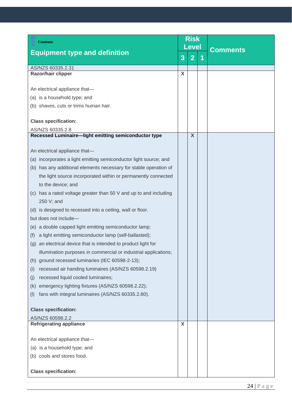<span id="page-23-2"></span><span id="page-23-1"></span><span id="page-23-0"></span>

| <b>Contents</b>                                                   | <b>Risk</b> |                           |  |                 |  |
|-------------------------------------------------------------------|-------------|---------------------------|--|-----------------|--|
| <b>Equipment type and definition</b>                              |             | <b>Level</b>              |  | <b>Comments</b> |  |
|                                                                   | 3           | $\overline{2}$            |  |                 |  |
| AS/NZS 60335.2.31                                                 |             |                           |  |                 |  |
| Razor/hair clipper                                                | X           |                           |  |                 |  |
|                                                                   |             |                           |  |                 |  |
| An electrical appliance that-                                     |             |                           |  |                 |  |
| (a) is a household type; and                                      |             |                           |  |                 |  |
| (b) shaves, cuts or trims human hair.                             |             |                           |  |                 |  |
| <b>Class specification:</b>                                       |             |                           |  |                 |  |
| AS/NZS 60335.2.8                                                  |             |                           |  |                 |  |
| Recessed Luminaire-light emitting semiconductor type              |             | $\boldsymbol{\mathsf{X}}$ |  |                 |  |
|                                                                   |             |                           |  |                 |  |
| An electrical appliance that-                                     |             |                           |  |                 |  |
| (a) incorporates a light emitting semiconductor light source; and |             |                           |  |                 |  |
| (b) has any additional elements necessary for stable operation of |             |                           |  |                 |  |
| the light source incorporated within or permanently connected     |             |                           |  |                 |  |
| to the device; and                                                |             |                           |  |                 |  |
| (c) has a rated voltage greater than 50 V and up to and including |             |                           |  |                 |  |
| 250 V; and                                                        |             |                           |  |                 |  |
| (d) is designed to recessed into a ceiling, wall or floor.        |             |                           |  |                 |  |
| but does not include-                                             |             |                           |  |                 |  |
| (e) a double capped light emitting semiconductor lamp;            |             |                           |  |                 |  |
| a light emitting semiconductor lamp (self-ballasted);<br>(f)      |             |                           |  |                 |  |
| (g) an electrical device that is intended to product light for    |             |                           |  |                 |  |
| illumination purposes in commercial or industrial applications;   |             |                           |  |                 |  |
| (h) ground recessed luminaries (IEC 60598-2-13);                  |             |                           |  |                 |  |
| recessed air handing luminaires (AS/NZS 60598.2.19)<br>(i)        |             |                           |  |                 |  |
| recessed liquid cooled luminaires;<br>(i)                         |             |                           |  |                 |  |
| emergency lighting fixtures (AS/NZS 60598.2.22);<br>(k)           |             |                           |  |                 |  |
| fans with integral luminaires (AS/NZS 60335.2.80).<br>(1)         |             |                           |  |                 |  |
|                                                                   |             |                           |  |                 |  |
| <b>Class specification:</b>                                       |             |                           |  |                 |  |
| AS/NZS 60598.2.2<br><b>Refrigerating appliance</b>                | X           |                           |  |                 |  |
|                                                                   |             |                           |  |                 |  |
| An electrical appliance that-                                     |             |                           |  |                 |  |
| (a) is a household type; and                                      |             |                           |  |                 |  |
| (b) cools and stores food.                                        |             |                           |  |                 |  |
|                                                                   |             |                           |  |                 |  |
| <b>Class specification:</b>                                       |             |                           |  |                 |  |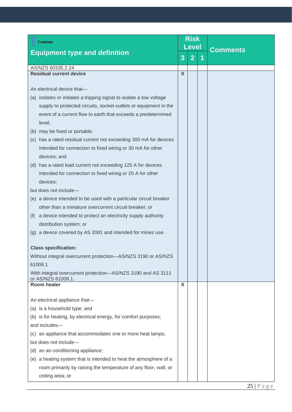<span id="page-24-1"></span><span id="page-24-0"></span>

| <b>Contents</b>                                                                    |   | <b>Risk</b><br>Level |   |                 |
|------------------------------------------------------------------------------------|---|----------------------|---|-----------------|
| <b>Equipment type and definition</b>                                               | 3 | $\overline{2}$       | 1 | <b>Comments</b> |
| AS/NZS 60335.2.24                                                                  |   |                      |   |                 |
| <b>Residual current device</b>                                                     | X |                      |   |                 |
|                                                                                    |   |                      |   |                 |
| An electrical device that-                                                         |   |                      |   |                 |
| (a) isolates or initiates a tripping signal to isolate a low voltage               |   |                      |   |                 |
| supply to protected circuits, socket-outlets or equipment in the                   |   |                      |   |                 |
| event of a current flow to earth that exceeds a predetermined                      |   |                      |   |                 |
| level;                                                                             |   |                      |   |                 |
| (b) may be fixed or portable;                                                      |   |                      |   |                 |
| (c) has a rated residual current not exceeding 300 mA for devices                  |   |                      |   |                 |
| intended for connection to fixed wiring or 30 mA for other                         |   |                      |   |                 |
| devices; and                                                                       |   |                      |   |                 |
| (d) has a rated load current not exceeding 125 A for devices                       |   |                      |   |                 |
| intended for connection to fixed wiring or 20 A for other                          |   |                      |   |                 |
| devices;                                                                           |   |                      |   |                 |
| but does not include-                                                              |   |                      |   |                 |
| (e) a device intended to be used with a particular circuit breaker                 |   |                      |   |                 |
| other than a miniature overcurrent circuit-breaker; or                             |   |                      |   |                 |
| a device intended to protect an electricity supply authority<br>(t)                |   |                      |   |                 |
| distribution system; or                                                            |   |                      |   |                 |
| (g) a device covered by AS 2081 and intended for mines use.                        |   |                      |   |                 |
| <b>Class specification:</b>                                                        |   |                      |   |                 |
| Without integral overcurrent protection-AS/NZS 3190 or AS/NZS                      |   |                      |   |                 |
| 61008.1                                                                            |   |                      |   |                 |
| With integral overcurrent protection-AS/NZS 3190 and AS 3111<br>or AS/NZS 61009.1. |   |                      |   |                 |
| <b>Room heater</b>                                                                 | X |                      |   |                 |
|                                                                                    |   |                      |   |                 |
| An electrical appliance that-                                                      |   |                      |   |                 |
| (a) is a household type; and                                                       |   |                      |   |                 |
| (b) is for heating, by electrical energy, for comfort purposes;                    |   |                      |   |                 |
| and includes-                                                                      |   |                      |   |                 |
| (c) an appliance that accommodates one or more heat lamps;                         |   |                      |   |                 |
| but does not include-                                                              |   |                      |   |                 |
| (d) an air-conditioning appliance;                                                 |   |                      |   |                 |
| (e) a heating system that is intended to heat the atmosphere of a                  |   |                      |   |                 |
| room primarily by raising the temperature of any floor, wall, or                   |   |                      |   |                 |
| ceiling area; or                                                                   |   |                      |   |                 |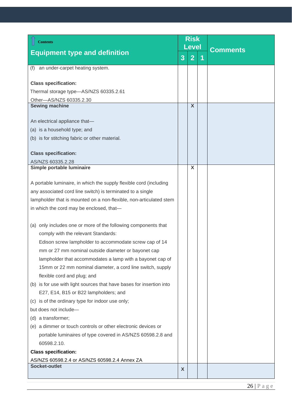<span id="page-25-2"></span><span id="page-25-1"></span><span id="page-25-0"></span>

| <b>Contents</b>                                                      | <b>Risk</b> |                           |   |                 |  |
|----------------------------------------------------------------------|-------------|---------------------------|---|-----------------|--|
|                                                                      |             | Level                     |   | <b>Comments</b> |  |
| <b>Equipment type and definition</b>                                 | 3           | $\overline{2}$            | 1 |                 |  |
| an under-carpet heating system.<br>(f)                               |             |                           |   |                 |  |
| <b>Class specification:</b>                                          |             |                           |   |                 |  |
| Thermal storage type-AS/NZS 60335.2.61                               |             |                           |   |                 |  |
| Other-AS/NZS 60335.2.30                                              |             |                           |   |                 |  |
| <b>Sewing machine</b>                                                |             | $\boldsymbol{\mathsf{X}}$ |   |                 |  |
| An electrical appliance that-                                        |             |                           |   |                 |  |
| (a) is a household type; and                                         |             |                           |   |                 |  |
| (b) is for stitching fabric or other material.                       |             |                           |   |                 |  |
|                                                                      |             |                           |   |                 |  |
| <b>Class specification:</b>                                          |             |                           |   |                 |  |
| AS/NZS 60335.2.28                                                    |             | X                         |   |                 |  |
| Simple portable luminaire                                            |             |                           |   |                 |  |
| A portable luminaire, in which the supply flexible cord (including   |             |                           |   |                 |  |
| any associated cord line switch) is terminated to a single           |             |                           |   |                 |  |
| lampholder that is mounted on a non-flexible, non-articulated stem   |             |                           |   |                 |  |
| in which the cord may be enclosed, that-                             |             |                           |   |                 |  |
|                                                                      |             |                           |   |                 |  |
| (a) only includes one or more of the following components that       |             |                           |   |                 |  |
| comply with the relevant Standards:                                  |             |                           |   |                 |  |
| Edison screw lampholder to accommodate screw cap of 14               |             |                           |   |                 |  |
| mm or 27 mm nominal outside diameter or bayonet cap                  |             |                           |   |                 |  |
| lampholder that accommodates a lamp with a bayonet cap of            |             |                           |   |                 |  |
| 15mm or 22 mm nominal diameter, a cord line switch, supply           |             |                           |   |                 |  |
| flexible cord and plug; and                                          |             |                           |   |                 |  |
| (b) is for use with light sources that have bases for insertion into |             |                           |   |                 |  |
| E27, E14, B15 or B22 lampholders; and                                |             |                           |   |                 |  |
| (c) is of the ordinary type for indoor use only;                     |             |                           |   |                 |  |
| but does not include-                                                |             |                           |   |                 |  |
| (d) a transformer;                                                   |             |                           |   |                 |  |
| (e) a dimmer or touch controls or other electronic devices or        |             |                           |   |                 |  |
| portable luminaires of type covered in AS/NZS 60598.2.8 and          |             |                           |   |                 |  |
| 60598.2.10.                                                          |             |                           |   |                 |  |
| <b>Class specification:</b>                                          |             |                           |   |                 |  |
| AS/NZS 60598.2.4 or AS/NZS 60598.2.4 Annex ZA                        |             |                           |   |                 |  |
| Socket-outlet                                                        | X           |                           |   |                 |  |
|                                                                      |             |                           |   |                 |  |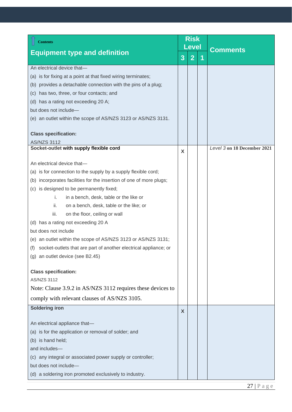<span id="page-26-1"></span><span id="page-26-0"></span>

| <b>Contents</b>                                                         |   | <b>Risk</b><br>Level | <b>Comments</b>             |  |
|-------------------------------------------------------------------------|---|----------------------|-----------------------------|--|
| <b>Equipment type and definition</b>                                    | 3 | $\overline{2}$       |                             |  |
| An electrical device that-                                              |   |                      |                             |  |
| (a) is for fixing at a point at that fixed wiring terminates;           |   |                      |                             |  |
| (b) provides a detachable connection with the pins of a plug;           |   |                      |                             |  |
| (c) has two, three, or four contacts; and                               |   |                      |                             |  |
| (d) has a rating not exceeding 20 A;                                    |   |                      |                             |  |
| but does not include-                                                   |   |                      |                             |  |
| (e) an outlet within the scope of AS/NZS 3123 or AS/NZS 3131.           |   |                      |                             |  |
| <b>Class specification:</b>                                             |   |                      |                             |  |
| AS/NZS 3112                                                             |   |                      |                             |  |
| Socket-outlet with supply flexible cord                                 | X |                      | Level 3 on 18 December 2021 |  |
| An electrical device that-                                              |   |                      |                             |  |
| (a) is for connection to the supply by a supply flexible cord;          |   |                      |                             |  |
| (b) incorporates facilities for the insertion of one of more plugs;     |   |                      |                             |  |
| (c) is designed to be permanently fixed;                                |   |                      |                             |  |
| i.<br>in a bench, desk, table or the like or                            |   |                      |                             |  |
| ii.<br>on a bench, desk, table or the like; or                          |   |                      |                             |  |
| iii.<br>on the floor, ceiling or wall                                   |   |                      |                             |  |
| (d) has a rating not exceeding 20 A                                     |   |                      |                             |  |
| but does not include                                                    |   |                      |                             |  |
| (e) an outlet within the scope of AS/NZS 3123 or AS/NZS 3131;           |   |                      |                             |  |
| socket-outlets that are part of another electrical appliance; or<br>(f) |   |                      |                             |  |
| (g) an outlet device (see B2.45)                                        |   |                      |                             |  |
| <b>Class specification:</b>                                             |   |                      |                             |  |
| AS/NZS 3112                                                             |   |                      |                             |  |
| Note: Clause 3.9.2 in AS/NZS 3112 requires these devices to             |   |                      |                             |  |
| comply with relevant clauses of AS/NZS 3105.                            |   |                      |                             |  |
| <b>Soldering iron</b>                                                   | X |                      |                             |  |
| An electrical appliance that-                                           |   |                      |                             |  |
| (a) is for the application or removal of solder; and                    |   |                      |                             |  |
| (b) is hand held;                                                       |   |                      |                             |  |
| and includes-                                                           |   |                      |                             |  |
| (c) any integral or associated power supply or controller;              |   |                      |                             |  |
| but does not include-                                                   |   |                      |                             |  |
| (d) a soldering iron promoted exclusively to industry.                  |   |                      |                             |  |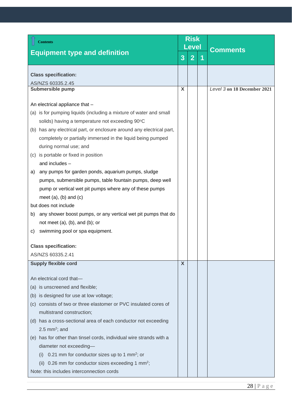<span id="page-27-1"></span><span id="page-27-0"></span>

| <b>Contents</b>                                                       |   | <b>Risk</b><br><b>Level</b> |   | <b>Comments</b>             |  |
|-----------------------------------------------------------------------|---|-----------------------------|---|-----------------------------|--|
| <b>Equipment type and definition</b>                                  | 3 | 2 <sup>2</sup>              | 1 |                             |  |
| <b>Class specification:</b>                                           |   |                             |   |                             |  |
| AS/NZS 60335.2.45                                                     |   |                             |   |                             |  |
| <b>Submersible pump</b>                                               | X |                             |   | Level 3 on 18 December 2021 |  |
| An electrical appliance that -                                        |   |                             |   |                             |  |
| (a) is for pumping liquids (including a mixture of water and small    |   |                             |   |                             |  |
| solids) having a temperature not exceeding 90°C                       |   |                             |   |                             |  |
| (b) has any electrical part, or enclosure around any electrical part, |   |                             |   |                             |  |
| completely or partially immersed in the liquid being pumped           |   |                             |   |                             |  |
| during normal use; and                                                |   |                             |   |                             |  |
| (c) is portable or fixed in position                                  |   |                             |   |                             |  |
| and includes -                                                        |   |                             |   |                             |  |
| any pumps for garden ponds, aquarium pumps, sludge<br>a)              |   |                             |   |                             |  |
| pumps, submersible pumps, table fountain pumps, deep well             |   |                             |   |                             |  |
| pump or vertical wet pit pumps where any of these pumps               |   |                             |   |                             |  |
| meet $(a)$ , $(b)$ and $(c)$                                          |   |                             |   |                             |  |
| but does not include                                                  |   |                             |   |                             |  |
| any shower boost pumps, or any vertical wet pit pumps that do<br>b)   |   |                             |   |                             |  |
| not meet $(a)$ , $(b)$ , and $(b)$ ; or                               |   |                             |   |                             |  |
| swimming pool or spa equipment.<br>C)                                 |   |                             |   |                             |  |
| <b>Class specification:</b>                                           |   |                             |   |                             |  |
| AS/NZS 60335.2.41                                                     |   |                             |   |                             |  |
| <b>Supply flexible cord</b>                                           | X |                             |   |                             |  |
|                                                                       |   |                             |   |                             |  |
| An electrical cord that-                                              |   |                             |   |                             |  |
| (a) is unscreened and flexible;                                       |   |                             |   |                             |  |
| (b) is designed for use at low voltage;                               |   |                             |   |                             |  |
| (c) consists of two or three elastomer or PVC insulated cores of      |   |                             |   |                             |  |
| multistrand construction;                                             |   |                             |   |                             |  |
| (d) has a cross-sectional area of each conductor not exceeding        |   |                             |   |                             |  |
| 2.5 mm <sup>2</sup> ; and                                             |   |                             |   |                             |  |
| (e) has for other than tinsel cords, individual wire strands with a   |   |                             |   |                             |  |
| diameter not exceeding-                                               |   |                             |   |                             |  |
| 0.21 mm for conductor sizes up to 1 mm <sup>2</sup> ; or<br>(1)       |   |                             |   |                             |  |
| 0.26 mm for conductor sizes exceeding 1 mm <sup>2</sup> ;<br>(ii)     |   |                             |   |                             |  |
| Note: this includes interconnection cords                             |   |                             |   |                             |  |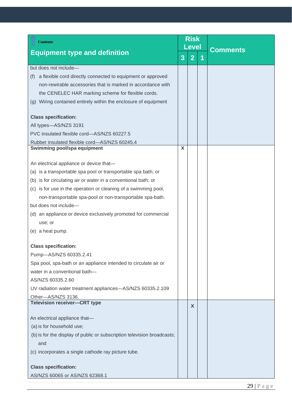<span id="page-28-1"></span><span id="page-28-0"></span>

| <b>Contents</b>                                                         |   | <b>Risk</b><br><b>Level</b> | <b>Comments</b> |
|-------------------------------------------------------------------------|---|-----------------------------|-----------------|
| <b>Equipment type and definition</b>                                    | 3 | $\overline{2}$              |                 |
| but does not include-                                                   |   |                             |                 |
| a flexible cord directly connected to equipment or approved<br>(f)      |   |                             |                 |
| non-rewirable accessories that is marked in accordance with             |   |                             |                 |
| the CENELEC HAR marking scheme for flexible cords.                      |   |                             |                 |
| (g) Wiring contained entirely within the enclosure of equipment         |   |                             |                 |
| <b>Class specification:</b>                                             |   |                             |                 |
| All types-AS/NZS 3191                                                   |   |                             |                 |
| PVC insulated flexible cord-AS/NZS 60227.5                              |   |                             |                 |
| Rubber insulated flexible cord-AS/NZS 60245.4                           |   |                             |                 |
| Swimming pool/spa equipment                                             | X |                             |                 |
|                                                                         |   |                             |                 |
| An electrical appliance or device that-                                 |   |                             |                 |
| (a) is a transportable spa pool or transportable spa bath; or           |   |                             |                 |
| (b) is for circulating air or water in a conventional bath; or          |   |                             |                 |
| (c) is for use in the operation or cleaning of a swimming pool,         |   |                             |                 |
| non-transportable spa-pool or non-transportable spa-bath.               |   |                             |                 |
| but does not include-                                                   |   |                             |                 |
| (d) an appliance or device exclusively promoted for commercial          |   |                             |                 |
| use; or                                                                 |   |                             |                 |
| (e) a heat pump.                                                        |   |                             |                 |
| <b>Class specification:</b>                                             |   |                             |                 |
| Pump-AS/NZS 60335.2.41                                                  |   |                             |                 |
| Spa pool, spa-bath or an appliance intended to circulate air or         |   |                             |                 |
| water in a conventional bath-                                           |   |                             |                 |
| AS/NZS 60335.2.60                                                       |   |                             |                 |
| UV radiation water treatment appliances-AS/NZS 60335.2.109              |   |                             |                 |
| Other-AS/NZS 3136.                                                      |   |                             |                 |
| <b>Television receiver-CRT type</b>                                     |   | X                           |                 |
| An electrical appliance that-                                           |   |                             |                 |
| (a) is for household use;                                               |   |                             |                 |
| (b) is for the display of public or subscription television broadcasts; |   |                             |                 |
| and                                                                     |   |                             |                 |
| (c) incorporates a single cathode ray picture tube.                     |   |                             |                 |
|                                                                         |   |                             |                 |
| <b>Class specification:</b>                                             |   |                             |                 |
| AS/NZS 60065 or AS/NZS 62368.1                                          |   |                             |                 |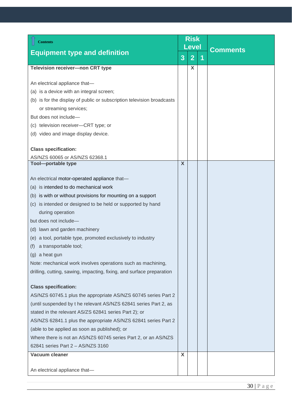<span id="page-29-2"></span><span id="page-29-1"></span><span id="page-29-0"></span>

| <b>Contents</b>                                                        | <b>Risk</b><br>Level |                |   |                 |  |
|------------------------------------------------------------------------|----------------------|----------------|---|-----------------|--|
| <b>Equipment type and definition</b>                                   | 3                    | $\overline{2}$ | 1 | <b>Comments</b> |  |
| <b>Television receiver-non CRT type</b>                                |                      | X              |   |                 |  |
| An electrical appliance that-                                          |                      |                |   |                 |  |
| (a) is a device with an integral screen;                               |                      |                |   |                 |  |
| (b) is for the display of public or subscription television broadcasts |                      |                |   |                 |  |
| or streaming services;                                                 |                      |                |   |                 |  |
| But does not include-                                                  |                      |                |   |                 |  |
| (c) television receiver-CRT type; or                                   |                      |                |   |                 |  |
| (d) video and image display device.                                    |                      |                |   |                 |  |
|                                                                        |                      |                |   |                 |  |
| <b>Class specification:</b>                                            |                      |                |   |                 |  |
| AS/NZS 60065 or AS/NZS 62368.1                                         |                      |                |   |                 |  |
| <b>Tool-portable type</b>                                              | X                    |                |   |                 |  |
| An electrical motor-operated appliance that-                           |                      |                |   |                 |  |
| (a) is intended to do mechanical work                                  |                      |                |   |                 |  |
|                                                                        |                      |                |   |                 |  |
| (b) is with or without provisions for mounting on a support            |                      |                |   |                 |  |
| (c) is intended or designed to be held or supported by hand            |                      |                |   |                 |  |
| during operation<br>but does not include-                              |                      |                |   |                 |  |
|                                                                        |                      |                |   |                 |  |
| (d) lawn and garden machinery                                          |                      |                |   |                 |  |
| (e) a tool, portable type, promoted exclusively to industry            |                      |                |   |                 |  |
| a transportable tool;<br>(t)<br>(g) a heat gun                         |                      |                |   |                 |  |
| Note: mechanical work involves operations such as machining,           |                      |                |   |                 |  |
| drilling, cutting, sawing, impacting, fixing, and surface preparation  |                      |                |   |                 |  |
|                                                                        |                      |                |   |                 |  |
| <b>Class specification:</b>                                            |                      |                |   |                 |  |
| AS/NZS 60745.1 plus the appropriate AS/NZS 60745 series Part 2         |                      |                |   |                 |  |
| (until suspended by t he relevant AS/NZS 62841 series Part 2, as       |                      |                |   |                 |  |
| stated in the relevant AS/ZS 62841 series Part 2); or                  |                      |                |   |                 |  |
| AS/NZS 62841.1 plus the appropriate AS/NZS 62841 series Part 2         |                      |                |   |                 |  |
| (able to be applied as soon as published); or                          |                      |                |   |                 |  |
| Where there is not an AS/NZS 60745 series Part 2, or an AS/NZS         |                      |                |   |                 |  |
| 62841 series Part 2 - AS/NZS 3160                                      |                      |                |   |                 |  |
| Vacuum cleaner                                                         | X                    |                |   |                 |  |
| An electrical appliance that-                                          |                      |                |   |                 |  |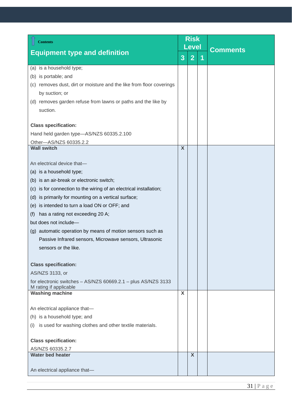<span id="page-30-2"></span><span id="page-30-1"></span><span id="page-30-0"></span>

| <b>Contents</b>                                                                                                 | <b>Risk</b><br>Level      |                |   |                 |  |
|-----------------------------------------------------------------------------------------------------------------|---------------------------|----------------|---|-----------------|--|
| <b>Equipment type and definition</b>                                                                            |                           |                |   | <b>Comments</b> |  |
|                                                                                                                 | 3                         | $\overline{2}$ | 1 |                 |  |
| (a) is a household type;                                                                                        |                           |                |   |                 |  |
| is portable; and<br>(b)                                                                                         |                           |                |   |                 |  |
| (c) removes dust, dirt or moisture and the like from floor coverings                                            |                           |                |   |                 |  |
| by suction; or                                                                                                  |                           |                |   |                 |  |
| (d) removes garden refuse from lawns or paths and the like by                                                   |                           |                |   |                 |  |
| suction.                                                                                                        |                           |                |   |                 |  |
| <b>Class specification:</b>                                                                                     |                           |                |   |                 |  |
| Hand held garden type-AS/NZS 60335.2.100                                                                        |                           |                |   |                 |  |
| Other-AS/NZS 60335.2.2                                                                                          |                           |                |   |                 |  |
| <b>Wall switch</b>                                                                                              | $\overline{\mathsf{X}}$   |                |   |                 |  |
| An electrical device that-                                                                                      |                           |                |   |                 |  |
| (a) is a household type;                                                                                        |                           |                |   |                 |  |
|                                                                                                                 |                           |                |   |                 |  |
| (b) is an air-break or electronic switch;<br>(c) is for connection to the wiring of an electrical installation; |                           |                |   |                 |  |
| (d) is primarily for mounting on a vertical surface;                                                            |                           |                |   |                 |  |
| (e) is intended to turn a load ON or OFF; and                                                                   |                           |                |   |                 |  |
| has a rating not exceeding 20 A;<br>(f)                                                                         |                           |                |   |                 |  |
| but does not include-                                                                                           |                           |                |   |                 |  |
| (g) automatic operation by means of motion sensors such as                                                      |                           |                |   |                 |  |
| Passive Infrared sensors, Microwave sensors, Ultrasonic                                                         |                           |                |   |                 |  |
| sensors or the like.                                                                                            |                           |                |   |                 |  |
|                                                                                                                 |                           |                |   |                 |  |
| <b>Class specification:</b>                                                                                     |                           |                |   |                 |  |
| AS/NZS 3133, or                                                                                                 |                           |                |   |                 |  |
| for electronic switches - AS/NZS 60669.2.1 - plus AS/NZS 3133<br>M rating if applicable                         |                           |                |   |                 |  |
| <b>Washing machine</b>                                                                                          | $\boldsymbol{\mathsf{X}}$ |                |   |                 |  |
|                                                                                                                 |                           |                |   |                 |  |
| An electrical appliance that-                                                                                   |                           |                |   |                 |  |
| (h) is a household type; and                                                                                    |                           |                |   |                 |  |
| is used for washing clothes and other textile materials.<br>(i)                                                 |                           |                |   |                 |  |
| <b>Class specification:</b>                                                                                     |                           |                |   |                 |  |
| AS/NZS 60335.2.7                                                                                                |                           |                |   |                 |  |
| <b>Water bed heater</b>                                                                                         |                           | X              |   |                 |  |
| An electrical appliance that-                                                                                   |                           |                |   |                 |  |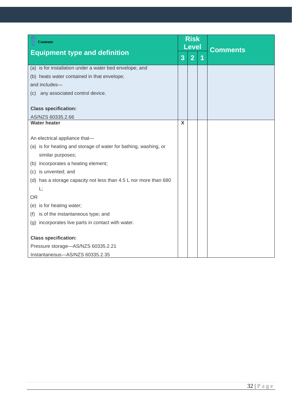<span id="page-31-0"></span>

| <b>Contents</b>                                                  | <b>Risk</b><br><b>Level</b> |                |   |                 |  |
|------------------------------------------------------------------|-----------------------------|----------------|---|-----------------|--|
| <b>Equipment type and definition</b>                             | $\overline{3}$              | $\overline{2}$ | 1 | <b>Comments</b> |  |
| (a) is for installation under a water bed envelope; and          |                             |                |   |                 |  |
| (b) heats water contained in that envelope;                      |                             |                |   |                 |  |
| and includes-                                                    |                             |                |   |                 |  |
| (c) any associated control device.                               |                             |                |   |                 |  |
| <b>Class specification:</b>                                      |                             |                |   |                 |  |
| AS/NZS 60335.2.66                                                |                             |                |   |                 |  |
| <b>Water heater</b>                                              | X                           |                |   |                 |  |
| An electrical appliance that-                                    |                             |                |   |                 |  |
| (a) is for heating and storage of water for bathing, washing, or |                             |                |   |                 |  |
| similar purposes;                                                |                             |                |   |                 |  |
| (b) incorporates a heating element;                              |                             |                |   |                 |  |
| (c) is unvented; and                                             |                             |                |   |                 |  |
| (d) has a storage capacity not less than 4.5 L nor more than 680 |                             |                |   |                 |  |
| L;                                                               |                             |                |   |                 |  |
| <b>OR</b>                                                        |                             |                |   |                 |  |
| (e) is for heating water;                                        |                             |                |   |                 |  |
| is of the instantaneous type; and<br>(f)                         |                             |                |   |                 |  |
| (g) incorporates live parts in contact with water.               |                             |                |   |                 |  |
| <b>Class specification:</b>                                      |                             |                |   |                 |  |
| Pressure storage-AS/NZS 60335.2.21                               |                             |                |   |                 |  |
| Instantaneous-AS/NZS 60335.2.35                                  |                             |                |   |                 |  |